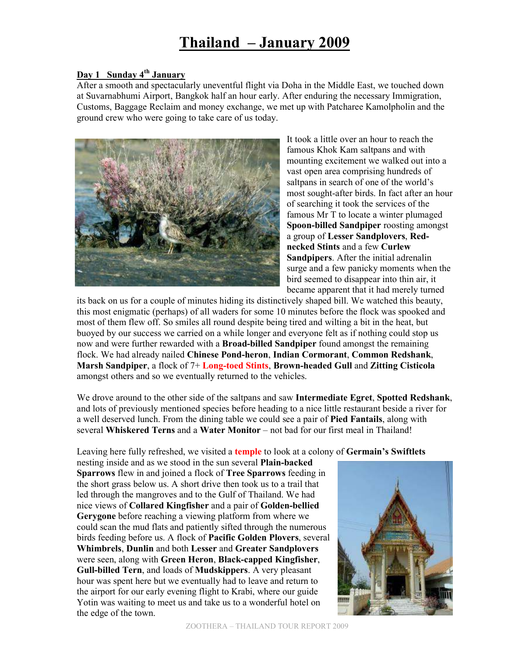# **Thailand – January 2009**

#### **Day 1 Sunday 4th January**

After a smooth and spectacularly uneventful flight via Doha in the Middle East, we touched down at Suvarnabhumi Airport, Bangkok half an hour early. After enduring the necessary Immigration, Customs, Baggage Reclaim and money exchange, we met up with Patcharee Kamolpholin and the ground crew who were going to take care of us today.



It took a little over an hour to reach the famous Khok Kam saltpans and with mounting excitement we walked out into a vast open area comprising hundreds of saltpans in search of one of the world's most sought-after birds. In fact after an hour of searching it took the services of the famous Mr T to locate a winter plumaged **Spoon-billed Sandpiper** roosting amongst a group of **Lesser Sandplovers**, **Rednecked Stints** and a few **Curlew Sandpipers**. After the initial adrenalin surge and a few panicky moments when the bird seemed to disappear into thin air, it became apparent that it had merely turned

its back on us for a couple of minutes hiding its distinctively shaped bill. We watched this beauty, this most enigmatic (perhaps) of all waders for some 10 minutes before the flock was spooked and most of them flew off. So smiles all round despite being tired and wilting a bit in the heat, but buoyed by our success we carried on a while longer and everyone felt as if nothing could stop us now and were further rewarded with a **Broad-billed Sandpiper** found amongst the remaining flock. We had already nailed **Chinese Pond-heron**, **Indian Cormorant**, **Common Redshank**, **Marsh Sandpiper**, a flock of 7+ **Long-toed Stints**, **Brown-headed Gull** and **Zitting Cisticola** amongst others and so we eventually returned to the vehicles.

We drove around to the other side of the saltpans and saw **Intermediate Egret**, **Spotted Redshank**, and lots of previously mentioned species before heading to a nice little restaurant beside a river for a well deserved lunch. From the dining table we could see a pair of **Pied Fantails**, along with several **Whiskered Terns** and a **Water Monitor** – not bad for our first meal in Thailand!

Leaving here fully refreshed, we visited a **temple** to look at a colony of **Germain's Swiftlets**

nesting inside and as we stood in the sun several **Plain-backed Sparrows** flew in and joined a flock of **Tree Sparrows** feeding in the short grass below us. A short drive then took us to a trail that led through the mangroves and to the Gulf of Thailand. We had nice views of **Collared Kingfisher** and a pair of **Golden-bellied Gerygone** before reaching a viewing platform from where we could scan the mud flats and patiently sifted through the numerous birds feeding before us. A flock of **Pacific Golden Plovers**, several **Whimbrels**, **Dunlin** and both **Lesser** and **Greater Sandplovers** were seen, along with **Green Heron**, **Black-capped Kingfisher**, **Gull-billed Tern**, and loads of **Mudskippers**. A very pleasant hour was spent here but we eventually had to leave and return to the airport for our early evening flight to Krabi, where our guide Yotin was waiting to meet us and take us to a wonderful hotel on the edge of the town.

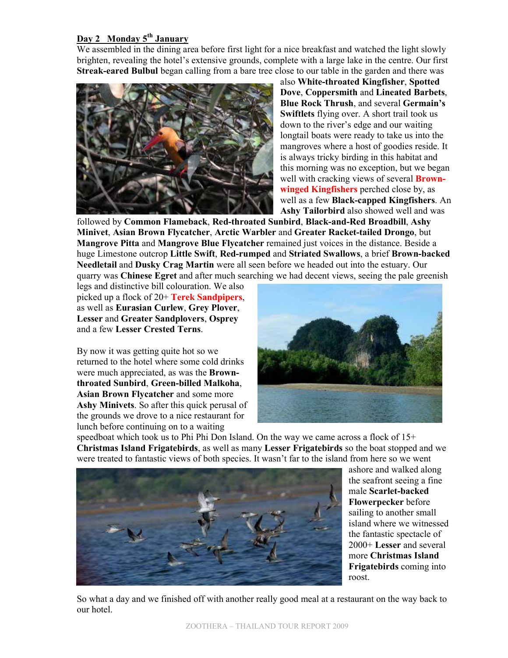#### **Day 2 Monday 5th January**

We assembled in the dining area before first light for a nice breakfast and watched the light slowly brighten, revealing the hotel's extensive grounds, complete with a large lake in the centre. Our first **Streak-eared Bulbul** began calling from a bare tree close to our table in the garden and there was



also **White-throated Kingfisher**, **Spotted Dove**, **Coppersmith** and **Lineated Barbets**, **Blue Rock Thrush**, and several **Germain's Swiftlets** flying over. A short trail took us down to the river's edge and our waiting longtail boats were ready to take us into the mangroves where a host of goodies reside. It is always tricky birding in this habitat and this morning was no exception, but we began well with cracking views of several **Brownwinged Kingfishers** perched close by, as well as a few **Black-capped Kingfishers**. An **Ashy Tailorbird** also showed well and was

followed by **Common Flameback**, **Red-throated Sunbird**, **Black-and-Red Broadbill**, **Ashy Minivet**, **Asian Brown Flycatcher**, **Arctic Warbler** and **Greater Racket-tailed Drongo**, but **Mangrove Pitta** and **Mangrove Blue Flycatcher** remained just voices in the distance. Beside a huge Limestone outcrop **Little Swift**, **Red-rumped** and **Striated Swallows**, a brief **Brown-backed Needletail** and **Dusky Crag Martin** were all seen before we headed out into the estuary. Our quarry was **Chinese Egret** and after much searching we had decent views, seeing the pale greenish

legs and distinctive bill colouration. We also picked up a flock of 20+ **Terek Sandpipers**, as well as **Eurasian Curlew**, **Grey Plover**, **Lesser** and **Greater Sandplovers**, **Osprey** and a few **Lesser Crested Terns**.

By now it was getting quite hot so we returned to the hotel where some cold drinks were much appreciated, as was the **Brownthroated Sunbird**, **Green-billed Malkoha**, **Asian Brown Flycatcher** and some more **Ashy Minivets**. So after this quick perusal of the grounds we drove to a nice restaurant for lunch before continuing on to a waiting



speedboat which took us to Phi Phi Don Island. On the way we came across a flock of  $15+$ **Christmas Island Frigatebirds**, as well as many **Lesser Frigatebirds** so the boat stopped and we were treated to fantastic views of both species. It wasn't far to the island from here so we went



ashore and walked along the seafront seeing a fine male **Scarlet-backed Flowerpecker** before sailing to another small island where we witnessed the fantastic spectacle of 2000+ **Lesser** and several more **Christmas Island Frigatebirds** coming into roost.

So what a day and we finished off with another really good meal at a restaurant on the way back to our hotel.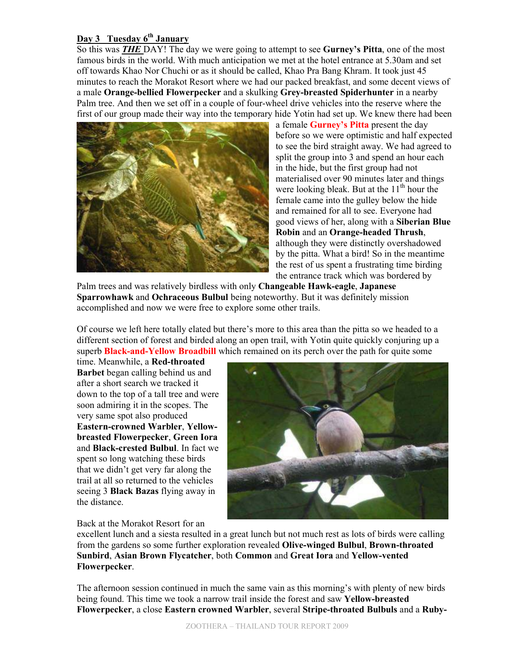# **Day 3 Tuesday 6th January**

So this was *THE* DAY! The day we were going to attempt to see **Gurney's Pitta**, one of the most famous birds in the world. With much anticipation we met at the hotel entrance at 5.30am and set off towards Khao Nor Chuchi or as it should be called, Khao Pra Bang Khram. It took just 45 minutes to reach the Morakot Resort where we had our packed breakfast, and some decent views of a male **Orange-bellied Flowerpecker** and a skulking **Grey-breasted Spiderhunter** in a nearby Palm tree. And then we set off in a couple of four-wheel drive vehicles into the reserve where the first of our group made their way into the temporary hide Yotin had set up. We knew there had been



a female **Gurney's Pitta** present the day before so we were optimistic and half expected to see the bird straight away. We had agreed to split the group into 3 and spend an hour each in the hide, but the first group had not materialised over 90 minutes later and things were looking bleak. But at the  $11<sup>th</sup>$  hour the female came into the gulley below the hide and remained for all to see. Everyone had good views of her, along with a **Siberian Blue Robin** and an **Orange-headed Thrush**, although they were distinctly overshadowed by the pitta. What a bird! So in the meantime the rest of us spent a frustrating time birding the entrance track which was bordered by

Palm trees and was relatively birdless with only **Changeable Hawk-eagle**, **Japanese Sparrowhawk** and **Ochraceous Bulbul** being noteworthy. But it was definitely mission accomplished and now we were free to explore some other trails.

Of course we left here totally elated but there's more to this area than the pitta so we headed to a different section of forest and birded along an open trail, with Yotin quite quickly conjuring up a superb **Black-and-Yellow Broadbill** which remained on its perch over the path for quite some

time. Meanwhile, a **Red-throated Barbet** began calling behind us and after a short search we tracked it down to the top of a tall tree and were soon admiring it in the scopes. The very same spot also produced **Eastern-crowned Warbler**, **Yellowbreasted Flowerpecker**, **Green Iora** and **Black-crested Bulbul**. In fact we spent so long watching these birds that we didn't get very far along the trail at all so returned to the vehicles seeing 3 **Black Bazas** flying away in the distance.



Back at the Morakot Resort for an

excellent lunch and a siesta resulted in a great lunch but not much rest as lots of birds were calling from the gardens so some further exploration revealed **Olive-winged Bulbul**, **Brown-throated Sunbird**, **Asian Brown Flycatcher**, both **Common** and **Great Iora** and **Yellow-vented Flowerpecker**.

The afternoon session continued in much the same vain as this morning's with plenty of new birds being found. This time we took a narrow trail inside the forest and saw **Yellow-breasted Flowerpecker**, a close **Eastern crowned Warbler**, several **Stripe-throated Bulbuls** and a **Ruby-**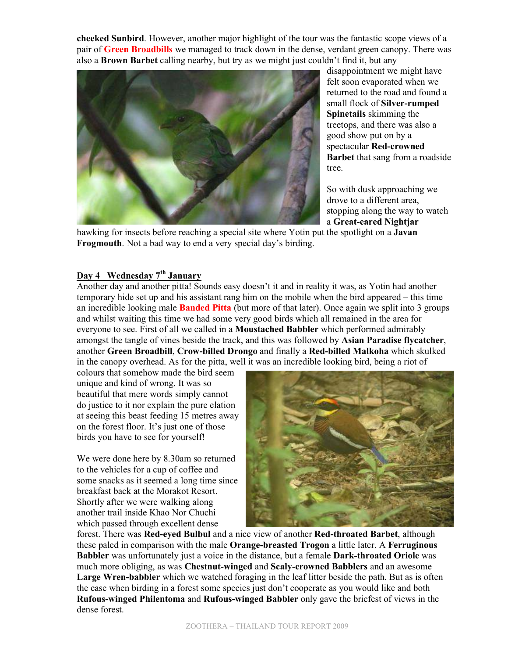**cheeked Sunbird**. However, another major highlight of the tour was the fantastic scope views of a pair of **Green Broadbills** we managed to track down in the dense, verdant green canopy. There was also a **Brown Barbet** calling nearby, but try as we might just couldn't find it, but any



disappointment we might have felt soon evaporated when we returned to the road and found a small flock of **Silver-rumped Spinetails** skimming the treetops, and there was also a good show put on by a spectacular **Red-crowned Barbet** that sang from a roadside tree.

So with dusk approaching we drove to a different area, stopping along the way to watch a **Great-eared Nightjar**

hawking for insects before reaching a special site where Yotin put the spotlight on a **Javan Frogmouth**. Not a bad way to end a very special day's birding.

# **Day 4 Wednesday 7th January**

Another day and another pitta! Sounds easy doesn't it and in reality it was, as Yotin had another temporary hide set up and his assistant rang him on the mobile when the bird appeared – this time an incredible looking male **Banded Pitta** (but more of that later). Once again we split into 3 groups and whilst waiting this time we had some very good birds which all remained in the area for everyone to see. First of all we called in a **Moustached Babbler** which performed admirably amongst the tangle of vines beside the track, and this was followed by **Asian Paradise flycatcher**, another **Green Broadbill**, **Crow-billed Drongo** and finally a **Red-billed Malkoha** which skulked in the canopy overhead. As for the pitta, well it was an incredible looking bird, being a riot of

colours that somehow made the bird seem unique and kind of wrong. It was so beautiful that mere words simply cannot do justice to it nor explain the pure elation at seeing this beast feeding 15 metres away on the forest floor. It's just one of those birds you have to see for yourself!

We were done here by 8.30am so returned to the vehicles for a cup of coffee and some snacks as it seemed a long time since breakfast back at the Morakot Resort. Shortly after we were walking along another trail inside Khao Nor Chuchi which passed through excellent dense



forest. There was **Red-eyed Bulbul** and a nice view of another **Red-throated Barbet**, although these paled in comparison with the male **Orange-breasted Trogon** a little later. A **Ferruginous Babbler** was unfortunately just a voice in the distance, but a female **Dark-throated Oriole** was much more obliging, as was **Chestnut-winged** and **Scaly-crowned Babblers** and an awesome **Large Wren-babbler** which we watched foraging in the leaf litter beside the path. But as is often the case when birding in a forest some species just don't cooperate as you would like and both **Rufous-winged Philentoma** and **Rufous-winged Babbler** only gave the briefest of views in the dense forest.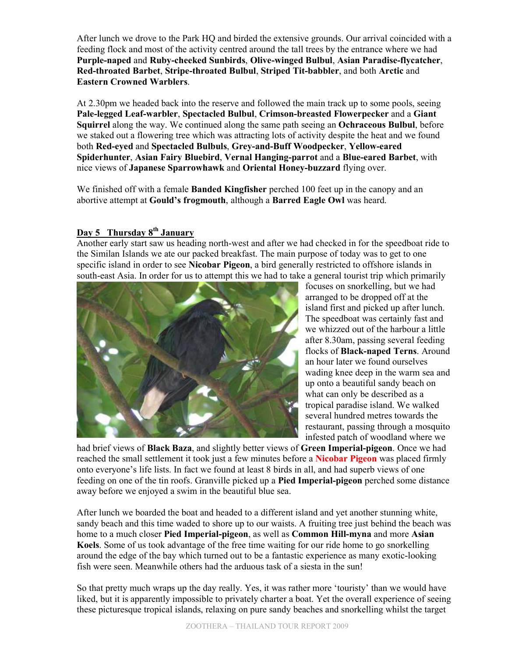After lunch we drove to the Park HQ and birded the extensive grounds. Our arrival coincided with a feeding flock and most of the activity centred around the tall trees by the entrance where we had **Purple-naped** and **Ruby-cheeked Sunbirds**, **Olive-winged Bulbul**, **Asian Paradise-flycatcher**, **Red-throated Barbet**, **Stripe-throated Bulbul**, **Striped Tit-babbler**, and both **Arctic** and **Eastern Crowned Warblers**.

At 2.30pm we headed back into the reserve and followed the main track up to some pools, seeing **Pale-legged Leaf-warbler**, **Spectacled Bulbul**, **Crimson-breasted Flowerpecker** and a **Giant Squirrel** along the way. We continued along the same path seeing an **Ochraceous Bulbul**, before we staked out a flowering tree which was attracting lots of activity despite the heat and we found both **Red-eyed** and **Spectacled Bulbuls**, **Grey-and-Buff Woodpecker**, **Yellow-eared Spiderhunter**, **Asian Fairy Bluebird**, **Vernal Hanging-parrot** and a **Blue-eared Barbet**, with nice views of **Japanese Sparrowhawk** and **Oriental Honey-buzzard** flying over.

We finished off with a female **Banded Kingfisher** perched 100 feet up in the canopy and an abortive attempt at **Gould's frogmouth**, although a **Barred Eagle Owl** was heard.

#### **Day 5 Thursday 8th January**

Another early start saw us heading north-west and after we had checked in for the speedboat ride to the Similan Islands we ate our packed breakfast. The main purpose of today was to get to one specific island in order to see **Nicobar Pigeon**, a bird generally restricted to offshore islands in south-east Asia. In order for us to attempt this we had to take a general tourist trip which primarily



focuses on snorkelling, but we had arranged to be dropped off at the island first and picked up after lunch. The speedboat was certainly fast and we whizzed out of the harbour a little after 8.30am, passing several feeding flocks of **Black-naped Terns**. Around an hour later we found ourselves wading knee deep in the warm sea and up onto a beautiful sandy beach on what can only be described as a tropical paradise island. We walked several hundred metres towards the restaurant, passing through a mosquito infested patch of woodland where we

had brief views of **Black Baza**, and slightly better views of **Green Imperial-pigeon**. Once we had reached the small settlement it took just a few minutes before a **Nicobar Pigeon** was placed firmly onto everyone's life lists. In fact we found at least 8 birds in all, and had superb views of one feeding on one of the tin roofs. Granville picked up a **Pied Imperial-pigeon** perched some distance away before we enjoyed a swim in the beautiful blue sea.

After lunch we boarded the boat and headed to a different island and yet another stunning white, sandy beach and this time waded to shore up to our waists. A fruiting tree just behind the beach was home to a much closer **Pied Imperial-pigeon**, as well as **Common Hill-myna** and more **Asian Koels**. Some of us took advantage of the free time waiting for our ride home to go snorkelling around the edge of the bay which turned out to be a fantastic experience as many exotic-looking fish were seen. Meanwhile others had the arduous task of a siesta in the sun!

So that pretty much wraps up the day really. Yes, it was rather more 'touristy' than we would have liked, but it is apparently impossible to privately charter a boat. Yet the overall experience of seeing these picturesque tropical islands, relaxing on pure sandy beaches and snorkelling whilst the target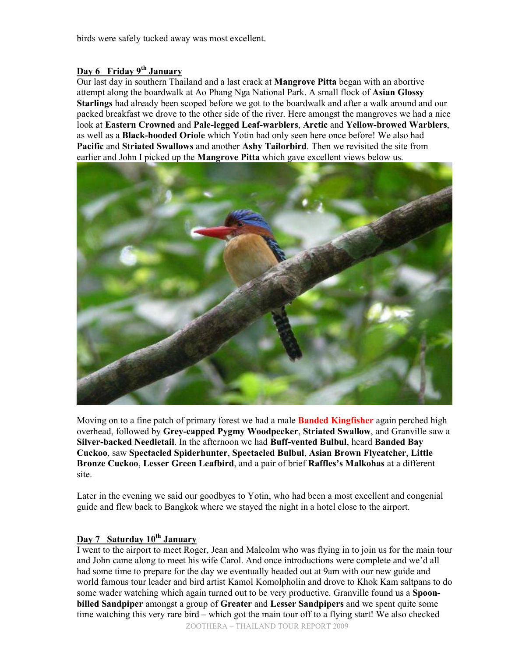birds were safely tucked away was most excellent.

# **Day 6 Friday 9th January**

Our last day in southern Thailand and a last crack at **Mangrove Pitta** began with an abortive attempt along the boardwalk at Ao Phang Nga National Park. A small flock of **Asian Glossy Starlings** had already been scoped before we got to the boardwalk and after a walk around and our packed breakfast we drove to the other side of the river. Here amongst the mangroves we had a nice look at **Eastern Crowned** and **Pale-legged Leaf-warblers**, **Arctic** and **Yellow-browed Warblers**, as well as a **Black-hooded Oriole** which Yotin had only seen here once before! We also had **Pacific** and **Striated Swallows** and another **Ashy Tailorbird**. Then we revisited the site from earlier and John I picked up the **Mangrove Pitta** which gave excellent views below us.



Moving on to a fine patch of primary forest we had a male **Banded Kingfisher** again perched high overhead, followed by **Grey-capped Pygmy Woodpecker**, **Striated Swallow**, and Granville saw a **Silver-backed Needletail**. In the afternoon we had **Buff-vented Bulbul**, heard **Banded Bay Cuckoo**, saw **Spectacled Spiderhunter**, **Spectacled Bulbul**, **Asian Brown Flycatcher**, **Little Bronze Cuckoo**, **Lesser Green Leafbird**, and a pair of brief **Raffles's Malkohas** at a different site.

Later in the evening we said our goodbyes to Yotin, who had been a most excellent and congenial guide and flew back to Bangkok where we stayed the night in a hotel close to the airport.

# **Day 7 Saturday 10th January**

I went to the airport to meet Roger, Jean and Malcolm who was flying in to join us for the main tour and John came along to meet his wife Carol. And once introductions were complete and we'd all had some time to prepare for the day we eventually headed out at 9am with our new guide and world famous tour leader and bird artist Kamol Komolpholin and drove to Khok Kam saltpans to do some wader watching which again turned out to be very productive. Granville found us a **Spoonbilled Sandpiper** amongst a group of **Greater** and **Lesser Sandpipers** and we spent quite some time watching this very rare bird – which got the main tour off to a flying start! We also checked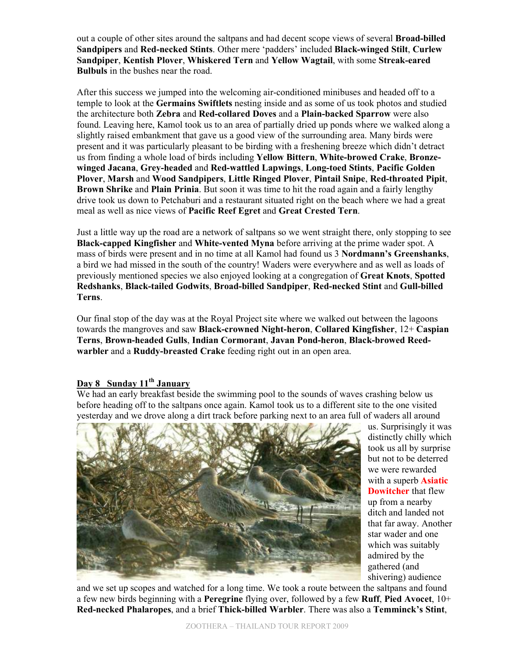out a couple of other sites around the saltpans and had decent scope views of several **Broad-billed Sandpipers** and **Red-necked Stints**. Other mere 'padders' included **Black-winged Stilt**, **Curlew Sandpiper**, **Kentish Plover**, **Whiskered Tern** and **Yellow Wagtail**, with some **Streak-eared Bulbuls** in the bushes near the road.

After this success we jumped into the welcoming air-conditioned minibuses and headed off to a temple to look at the **Germains Swiftlets** nesting inside and as some of us took photos and studied the architecture both **Zebra** and **Red-collared Doves** and a **Plain-backed Sparrow** were also found. Leaving here, Kamol took us to an area of partially dried up ponds where we walked along a slightly raised embankment that gave us a good view of the surrounding area. Many birds were present and it was particularly pleasant to be birding with a freshening breeze which didn't detract us from finding a whole load of birds including **Yellow Bittern**, **White-browed Crake**, **Bronzewinged Jacana**, **Grey-headed** and **Red-wattled Lapwings**, **Long-toed Stints**, **Pacific Golden Plover**, **Marsh** and **Wood Sandpipers**, **Little Ringed Plover**, **Pintail Snipe**, **Red-throated Pipit**, **Brown Shrike** and **Plain Prinia**. But soon it was time to hit the road again and a fairly lengthy drive took us down to Petchaburi and a restaurant situated right on the beach where we had a great meal as well as nice views of **Pacific Reef Egret** and **Great Crested Tern**.

Just a little way up the road are a network of saltpans so we went straight there, only stopping to see **Black-capped Kingfisher** and **White-vented Myna** before arriving at the prime wader spot. A mass of birds were present and in no time at all Kamol had found us 3 **Nordmann's Greenshanks**, a bird we had missed in the south of the country! Waders were everywhere and as well as loads of previously mentioned species we also enjoyed looking at a congregation of **Great Knots**, **Spotted Redshanks**, **Black-tailed Godwits**, **Broad-billed Sandpiper**, **Red-necked Stint** and **Gull-billed Terns**.

Our final stop of the day was at the Royal Project site where we walked out between the lagoons towards the mangroves and saw **Black-crowned Night-heron**, **Collared Kingfisher**, 12+ **Caspian Terns**, **Brown-headed Gulls**, **Indian Cormorant**, **Javan Pond-heron**, **Black-browed Reedwarbler** and a **Ruddy-breasted Crake** feeding right out in an open area.

#### **Day 8 Sunday 11th January**

We had an early breakfast beside the swimming pool to the sounds of waves crashing below us before heading off to the saltpans once again. Kamol took us to a different site to the one visited yesterday and we drove along a dirt track before parking next to an area full of waders all around



us. Surprisingly it was distinctly chilly which took us all by surprise but not to be deterred we were rewarded with a superb **Asiatic Dowitcher** that flew up from a nearby ditch and landed not that far away. Another star wader and one which was suitably admired by the gathered (and shivering) audience

and we set up scopes and watched for a long time. We took a route between the saltpans and found a few new birds beginning with a **Peregrine** flying over, followed by a few **Ruff**, **Pied Avocet**, 10+ **Red-necked Phalaropes**, and a brief **Thick-billed Warbler**. There was also a **Temminck's Stint**,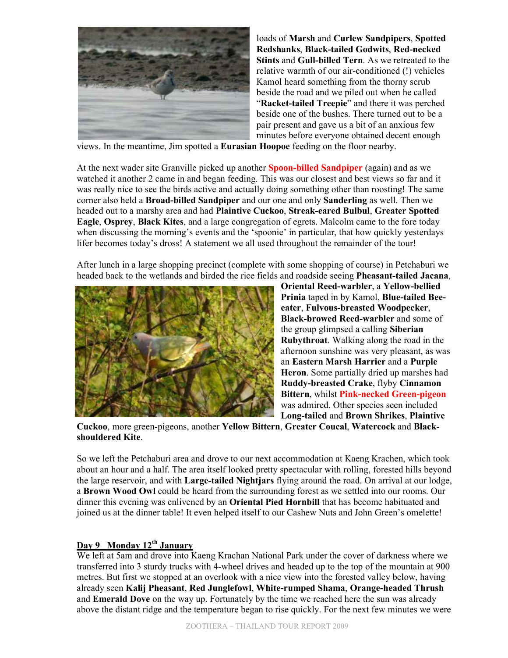

loads of **Marsh** and **Curlew Sandpipers**, **Spotted Redshanks**, **Black-tailed Godwits**, **Red-necked Stints** and **Gull-billed Tern**. As we retreated to the relative warmth of our air-conditioned (!) vehicles Kamol heard something from the thorny scrub beside the road and we piled out when he called "**Racket-tailed Treepie**" and there it was perched beside one of the bushes. There turned out to be a pair present and gave us a bit of an anxious few minutes before everyone obtained decent enough

views. In the meantime, Jim spotted a **Eurasian Hoopoe** feeding on the floor nearby.

At the next wader site Granville picked up another **Spoon-billed Sandpiper** (again) and as we watched it another 2 came in and began feeding. This was our closest and best views so far and it was really nice to see the birds active and actually doing something other than roosting! The same corner also held a **Broad-billed Sandpiper** and our one and only **Sanderling** as well. Then we headed out to a marshy area and had **Plaintive Cuckoo**, **Streak-eared Bulbul**, **Greater Spotted Eagle**, **Osprey**, **Black Kites**, and a large congregation of egrets. Malcolm came to the fore today when discussing the morning's events and the 'spoonie' in particular, that how quickly yesterdays lifer becomes today's dross! A statement we all used throughout the remainder of the tour!

After lunch in a large shopping precinct (complete with some shopping of course) in Petchaburi we headed back to the wetlands and birded the rice fields and roadside seeing **Pheasant-tailed Jacana**,



**Oriental Reed-warbler**, a **Yellow-bellied Prinia** taped in by Kamol, **Blue-tailed Beeeater**, **Fulvous-breasted Woodpecker**, **Black-browed Reed-warbler** and some of the group glimpsed a calling **Siberian Rubythroat**. Walking along the road in the afternoon sunshine was very pleasant, as was an **Eastern Marsh Harrier** and a **Purple Heron**. Some partially dried up marshes had **Ruddy-breasted Crake**, flyby **Cinnamon Bittern**, whilst **Pink-necked Green-pigeon** was admired. Other species seen included **Long-tailed** and **Brown Shrikes**, **Plaintive** 

**Cuckoo**, more green-pigeons, another **Yellow Bittern**, **Greater Coucal**, **Watercock** and **Blackshouldered Kite**.

So we left the Petchaburi area and drove to our next accommodation at Kaeng Krachen, which took about an hour and a half. The area itself looked pretty spectacular with rolling, forested hills beyond the large reservoir, and with **Large-tailed Nightjars** flying around the road. On arrival at our lodge, a **Brown Wood Owl** could be heard from the surrounding forest as we settled into our rooms. Our dinner this evening was enlivened by an **Oriental Pied Hornbill** that has become habituated and joined us at the dinner table! It even helped itself to our Cashew Nuts and John Green's omelette!

## **Day 9 Monday 12th January**

We left at 5am and drove into Kaeng Krachan National Park under the cover of darkness where we transferred into 3 sturdy trucks with 4-wheel drives and headed up to the top of the mountain at 900 metres. But first we stopped at an overlook with a nice view into the forested valley below, having already seen **Kalij Pheasant**, **Red Junglefowl**, **White-rumped Shama**, **Orange-headed Thrush** and **Emerald Dove** on the way up. Fortunately by the time we reached here the sun was already above the distant ridge and the temperature began to rise quickly. For the next few minutes we were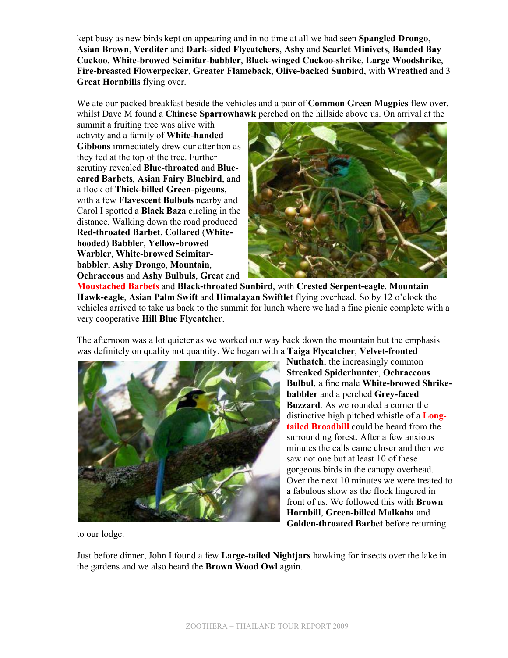kept busy as new birds kept on appearing and in no time at all we had seen **Spangled Drongo**, **Asian Brown**, **Verditer** and **Dark-sided Flycatchers**, **Ashy** and **Scarlet Minivets**, **Banded Bay Cuckoo**, **White-browed Scimitar-babbler**, **Black-winged Cuckoo-shrike**, **Large Woodshrike**, **Fire-breasted Flowerpecker**, **Greater Flameback**, **Olive-backed Sunbird**, with **Wreathed** and 3 **Great Hornbills** flying over.

We ate our packed breakfast beside the vehicles and a pair of **Common Green Magpies** flew over, whilst Dave M found a **Chinese Sparrowhawk** perched on the hillside above us. On arrival at the

summit a fruiting tree was alive with activity and a family of **White-handed Gibbons** immediately drew our attention as they fed at the top of the tree. Further scrutiny revealed **Blue-throated** and **Blueeared Barbets**, **Asian Fairy Bluebird**, and a flock of **Thick-billed Green-pigeons**, with a few **Flavescent Bulbuls** nearby and Carol I spotted a **Black Baza** circling in the distance. Walking down the road produced **Red-throated Barbet**, **Collared** (**Whitehooded**) **Babbler**, **Yellow-browed Warbler**, **White-browed Scimitarbabbler**, **Ashy Drongo**, **Mountain**, **Ochraceous** and **Ashy Bulbuls**, **Great** and



**Moustached Barbets** and **Black-throated Sunbird**, with **Crested Serpent-eagle**, **Mountain Hawk-eagle**, **Asian Palm Swift** and **Himalayan Swiftlet** flying overhead. So by 12 o'clock the vehicles arrived to take us back to the summit for lunch where we had a fine picnic complete with a very cooperative **Hill Blue Flycatcher**.

The afternoon was a lot quieter as we worked our way back down the mountain but the emphasis was definitely on quality not quantity. We began with a **Taiga Flycatcher**, **Velvet-fronted** 



**Nuthatch**, the increasingly common **Streaked Spiderhunter**, **Ochraceous Bulbul**, a fine male **White-browed Shrikebabbler** and a perched **Grey-faced Buzzard**. As we rounded a corner the distinctive high pitched whistle of a **Longtailed Broadbill** could be heard from the surrounding forest. After a few anxious minutes the calls came closer and then we saw not one but at least 10 of these gorgeous birds in the canopy overhead. Over the next 10 minutes we were treated to a fabulous show as the flock lingered in front of us. We followed this with **Brown Hornbill**, **Green-billed Malkoha** and **Golden-throated Barbet** before returning

to our lodge.

Just before dinner, John I found a few **Large-tailed Nightjars** hawking for insects over the lake in the gardens and we also heard the **Brown Wood Owl** again.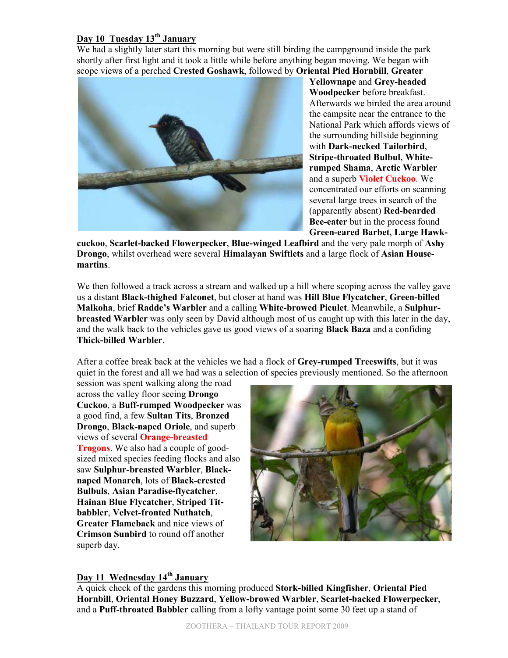# **Day 10 Tuesday 13th January**

We had a slightly later start this morning but were still birding the campground inside the park shortly after first light and it took a little while before anything began moving. We began with scope views of a perched **Crested Goshawk**, followed by **Oriental Pied Hornbill**, **Greater**



**Yellownape** and **Grey-headed Woodpecker** before breakfast. Afterwards we birded the area around the campsite near the entrance to the National Park which affords views of the surrounding hillside beginning with **Dark-necked Tailorbird**, **Stripe-throated Bulbul**, **Whiterumped Shama**, **Arctic Warbler** and a superb **Violet Cuckoo**. We concentrated our efforts on scanning several large trees in search of the (apparently absent) **Red-bearded Bee-eater** but in the process found **Green-eared Barbet**, **Large Hawk-**

**cuckoo**, **Scarlet-backed Flowerpecker**, **Blue-winged Leafbird** and the very pale morph of **Ashy Drongo**, whilst overhead were several **Himalayan Swiftlets** and a large flock of **Asian Housemartins**.

We then followed a track across a stream and walked up a hill where scoping across the valley gave us a distant **Black-thighed Falconet**, but closer at hand was **Hill Blue Flycatcher**, **Green-billed Malkoha**, brief **Radde's Warbler** and a calling **White-browed Piculet**. Meanwhile, a **Sulphurbreasted Warbler** was only seen by David although most of us caught up with this later in the day, and the walk back to the vehicles gave us good views of a soaring **Black Baza** and a confiding **Thick-billed Warbler**.

After a coffee break back at the vehicles we had a flock of **Grey-rumped Treeswifts**, but it was quiet in the forest and all we had was a selection of species previously mentioned. So the afternoon

session was spent walking along the road across the valley floor seeing **Drongo Cuckoo**, a **Buff-rumped Woodpecker** was a good find, a few **Sultan Tits**, **Bronzed Drongo**, **Black-naped Oriole**, and superb views of several **Orange-breasted Trogons**. We also had a couple of goodsized mixed species feeding flocks and also saw **Sulphur-breasted Warbler**, **Blacknaped Monarch**, lots of **Black-crested Bulbuls**, **Asian Paradise-flycatcher**, **Hainan Blue Flycatcher**, **Striped Titbabbler**, **Velvet-fronted Nuthatch**, **Greater Flameback** and nice views of **Crimson Sunbird** to round off another superb day.



#### **Day 11 Wednesday 14th January**

A quick check of the gardens this morning produced **Stork-billed Kingfisher**, **Oriental Pied Hornbill**, **Oriental Honey Buzzard**, **Yellow-browed Warbler**, **Scarlet-backed Flowerpecker**, and a **Puff-throated Babbler** calling from a lofty vantage point some 30 feet up a stand of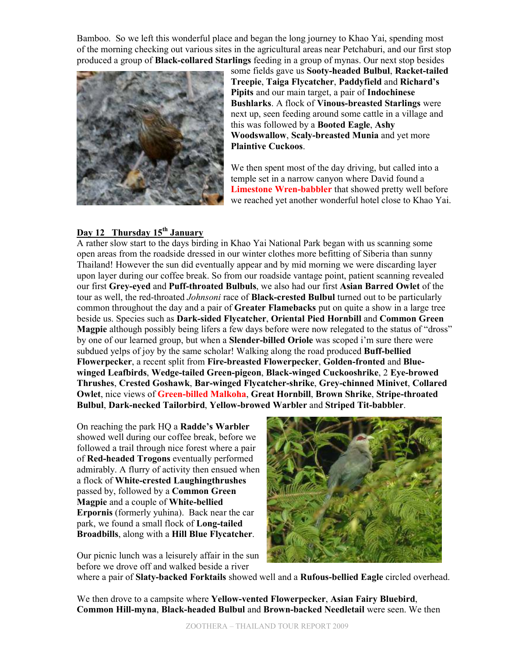Bamboo. So we left this wonderful place and began the long journey to Khao Yai, spending most of the morning checking out various sites in the agricultural areas near Petchaburi, and our first stop produced a group of **Black-collared Starlings** feeding in a group of mynas. Our next stop besides



some fields gave us **Sooty-headed Bulbul**, **Racket-tailed Treepie**, **Taiga Flycatcher**, **Paddyfield** and **Richard's Pipits** and our main target, a pair of **Indochinese Bushlarks**. A flock of **Vinous-breasted Starlings** were next up, seen feeding around some cattle in a village and this was followed by a **Booted Eagle**, **Ashy Woodswallow**, **Scaly-breasted Munia** and yet more **Plaintive Cuckoos**.

We then spent most of the day driving, but called into a temple set in a narrow canyon where David found a **Limestone Wren-babbler** that showed pretty well before we reached yet another wonderful hotel close to Khao Yai.

#### **Day 12 Thursday 15th January**

A rather slow start to the days birding in Khao Yai National Park began with us scanning some open areas from the roadside dressed in our winter clothes more befitting of Siberia than sunny Thailand! However the sun did eventually appear and by mid morning we were discarding layer upon layer during our coffee break. So from our roadside vantage point, patient scanning revealed our first **Grey-eyed** and **Puff-throated Bulbuls**, we also had our first **Asian Barred Owlet** of the tour as well, the red-throated *Johnsoni* race of **Black-crested Bulbul** turned out to be particularly common throughout the day and a pair of **Greater Flamebacks** put on quite a show in a large tree beside us. Species such as **Dark-sided Flycatcher**, **Oriental Pied Hornbill** and **Common Green Magpie** although possibly being lifers a few days before were now relegated to the status of "dross" by one of our learned group, but when a **Slender-billed Oriole** was scoped i'm sure there were subdued yelps of joy by the same scholar! Walking along the road produced **Buff-bellied Flowerpecker**, a recent split from **Fire-breasted Flowerpecker**, **Golden-fronted** and **Bluewinged Leafbirds**, **Wedge-tailed Green-pigeon**, **Black-winged Cuckooshrike**, 2 **Eye-browed Thrushes**, **Crested Goshawk**, **Bar-winged Flycatcher-shrike**, **Grey-chinned Minivet**, **Collared Owlet**, nice views of **Green-billed Malkoha**, **Great Hornbill**, **Brown Shrike**, **Stripe-throated Bulbul**, **Dark-necked Tailorbird**, **Yellow-browed Warbler** and **Striped Tit-babbler**.

On reaching the park HQ a **Radde's Warbler** showed well during our coffee break, before we followed a trail through nice forest where a pair of **Red-headed Trogons** eventually performed admirably. A flurry of activity then ensued when a flock of **White-crested Laughingthrushes** passed by, followed by a **Common Green Magpie** and a couple of **White-bellied Erpornis** (formerly yuhina). Back near the car park, we found a small flock of **Long-tailed Broadbills**, along with a **Hill Blue Flycatcher**.

Our picnic lunch was a leisurely affair in the sun before we drove off and walked beside a river



where a pair of **Slaty-backed Forktails** showed well and a **Rufous-bellied Eagle** circled overhead.

We then drove to a campsite where **Yellow-vented Flowerpecker**, **Asian Fairy Bluebird**, **Common Hill-myna**, **Black-headed Bulbul** and **Brown-backed Needletail** were seen. We then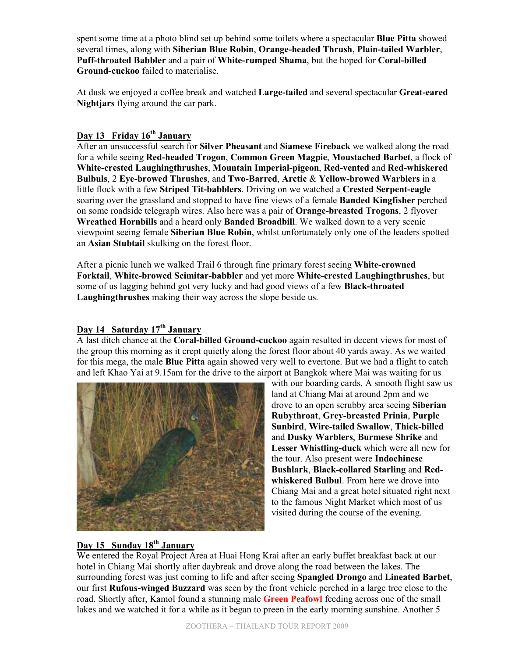spent some time at a photo blind set up behind some toilets where a spectacular **Blue Pitta** showed several times, along with **Siberian Blue Robin**, **Orange-headed Thrush**, **Plain-tailed Warbler**, **Puff-throated Babbler** and a pair of **White-rumped Shama**, but the hoped for **Coral-billed Ground-cuckoo** failed to materialise.

At dusk we enjoyed a coffee break and watched **Large-tailed** and several spectacular **Great-eared Nightjars** flying around the car park.

# **Day 13 Friday 16th January**

After an unsuccessful search for **Silver Pheasant** and **Siamese Fireback** we walked along the road for a while seeing **Red-headed Trogon**, **Common Green Magpie**, **Moustached Barbet**, a flock of **White-crested Laughingthrushes**, **Mountain Imperial-pigeon**, **Red-vented** and **Red-whiskered Bulbuls**, 2 **Eye-browed Thrushes**, and **Two-Barred**, **Arctic** & **Yellow-browed Warblers** in a little flock with a few **Striped Tit-babblers**. Driving on we watched a **Crested Serpent-eagle** soaring over the grassland and stopped to have fine views of a female **Banded Kingfisher** perched on some roadside telegraph wires. Also here was a pair of **Orange-breasted Trogons**, 2 flyover **Wreathed Hornbills** and a heard only **Banded Broadbill**. We walked down to a very scenic viewpoint seeing female **Siberian Blue Robin**, whilst unfortunately only one of the leaders spotted an **Asian Stubtail** skulking on the forest floor.

After a picnic lunch we walked Trail 6 through fine primary forest seeing **White-crowned Forktail**, **White-browed Scimitar-babbler** and yet more **White-crested Laughingthrushes**, but some of us lagging behind got very lucky and had good views of a few **Black-throated Laughingthrushes** making their way across the slope beside us.

# **Day 14 Saturday 17th January**

A last ditch chance at the **Coral-billed Ground-cuckoo** again resulted in decent views for most of the group this morning as it crept quietly along the forest floor about 40 yards away. As we waited for this mega, the male **Blue Pitta** again showed very well to evertone. But we had a flight to catch and left Khao Yai at 9.15am for the drive to the airport at Bangkok where Mai was waiting for us



with our boarding cards. A smooth flight saw us land at Chiang Mai at around 2pm and we drove to an open scrubby area seeing **Siberian Rubythroat**, **Grey-breasted Prinia**, **Purple Sunbird**, **Wire-tailed Swallow**, **Thick-billed** and **Dusky Warblers**, **Burmese Shrike** and **Lesser Whistling-duck** which were all new for the tour. Also present were **Indochinese Bushlark**, **Black-collared Starling** and **Redwhiskered Bulbul**. From here we drove into Chiang Mai and a great hotel situated right next to the famous Night Market which most of us visited during the course of the evening.

## **Day 15 Sunday 18th January**

We entered the Royal Project Area at Huai Hong Krai after an early buffet breakfast back at our hotel in Chiang Mai shortly after daybreak and drove along the road between the lakes. The surrounding forest was just coming to life and after seeing **Spangled Drongo** and **Lineated Barbet**, our first **Rufous-winged Buzzard** was seen by the front vehicle perched in a large tree close to the road. Shortly after, Kamol found a stunning male **Green Peafowl** feeding across one of the small lakes and we watched it for a while as it began to preen in the early morning sunshine. Another 5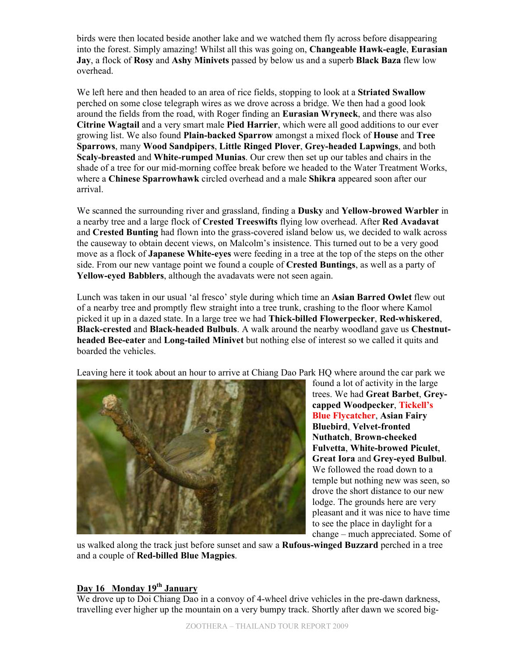birds were then located beside another lake and we watched them fly across before disappearing into the forest. Simply amazing! Whilst all this was going on, **Changeable Hawk-eagle**, **Eurasian Jay**, a flock of **Rosy** and **Ashy Minivets** passed by below us and a superb **Black Baza** flew low overhead.

We left here and then headed to an area of rice fields, stopping to look at a **Striated Swallow** perched on some close telegraph wires as we drove across a bridge. We then had a good look around the fields from the road, with Roger finding an **Eurasian Wryneck**, and there was also **Citrine Wagtail** and a very smart male **Pied Harrier**, which were all good additions to our ever growing list. We also found **Plain-backed Sparrow** amongst a mixed flock of **House** and **Tree Sparrows**, many **Wood Sandpipers**, **Little Ringed Plover**, **Grey-headed Lapwings**, and both **Scaly-breasted** and **White-rumped Munias**. Our crew then set up our tables and chairs in the shade of a tree for our mid-morning coffee break before we headed to the Water Treatment Works, where a **Chinese Sparrowhawk** circled overhead and a male **Shikra** appeared soon after our arrival.

We scanned the surrounding river and grassland, finding a **Dusky** and **Yellow-browed Warbler** in a nearby tree and a large flock of **Crested Treeswifts** flying low overhead. After **Red Avadavat** and **Crested Bunting** had flown into the grass-covered island below us, we decided to walk across the causeway to obtain decent views, on Malcolm's insistence. This turned out to be a very good move as a flock of **Japanese White-eyes** were feeding in a tree at the top of the steps on the other side. From our new vantage point we found a couple of **Crested Buntings**, as well as a party of **Yellow-eyed Babblers**, although the avadavats were not seen again.

Lunch was taken in our usual 'al fresco' style during which time an **Asian Barred Owlet** flew out of a nearby tree and promptly flew straight into a tree trunk, crashing to the floor where Kamol picked it up in a dazed state. In a large tree we had **Thick-billed Flowerpecker**, **Red-whiskered**, **Black-crested** and **Black-headed Bulbuls**. A walk around the nearby woodland gave us **Chestnutheaded Bee-eater** and **Long-tailed Minivet** but nothing else of interest so we called it quits and boarded the vehicles.

Leaving here it took about an hour to arrive at Chiang Dao Park HQ where around the car park we



found a lot of activity in the large trees. We had **Great Barbet**, **Greycapped Woodpecker**, **Tickell's Blue Flycatcher**, **Asian Fairy Bluebird**, **Velvet-fronted Nuthatch**, **Brown-cheeked Fulvetta**, **White-browed Piculet**, **Great Iora** and **Grey-eyed Bulbul**. We followed the road down to a temple but nothing new was seen, so drove the short distance to our new lodge. The grounds here are very pleasant and it was nice to have time to see the place in daylight for a change – much appreciated. Some of

us walked along the track just before sunset and saw a **Rufous-winged Buzzard** perched in a tree and a couple of **Red-billed Blue Magpies**.

# **Day 16 Monday 19th January**

We drove up to Doi Chiang Dao in a convoy of 4-wheel drive vehicles in the pre-dawn darkness, travelling ever higher up the mountain on a very bumpy track. Shortly after dawn we scored big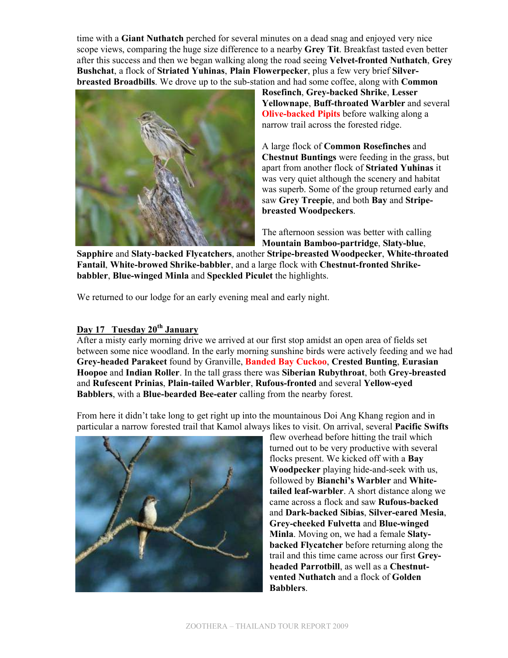time with a **Giant Nuthatch** perched for several minutes on a dead snag and enjoyed very nice scope views, comparing the huge size difference to a nearby **Grey Tit**. Breakfast tasted even better after this success and then we began walking along the road seeing **Velvet-fronted Nuthatch**, **Grey Bushchat**, a flock of **Striated Yuhinas**, **Plain Flowerpecker**, plus a few very brief **Silverbreasted Broadbills**. We drove up to the sub-station and had some coffee, along with **Common** 



**Rosefinch**, **Grey-backed Shrike**, **Lesser Yellownape**, **Buff-throated Warbler** and several **Olive-backed Pipits** before walking along a narrow trail across the forested ridge.

A large flock of **Common Rosefinches** and **Chestnut Buntings** were feeding in the grass, but apart from another flock of **Striated Yuhinas** it was very quiet although the scenery and habitat was superb. Some of the group returned early and saw **Grey Treepie**, and both **Bay** and **Stripebreasted Woodpeckers**.

The afternoon session was better with calling **Mountain Bamboo-partridge**, **Slaty-blue**,

**Sapphire** and **Slaty-backed Flycatchers**, another **Stripe-breasted Woodpecker**, **White-throated Fantail**, **White-browed Shrike-babbler**, and a large flock with **Chestnut-fronted Shrikebabbler**, **Blue-winged Minla** and **Speckled Piculet** the highlights.

We returned to our lodge for an early evening meal and early night.

# **Day 17 Tuesday 20th January**

After a misty early morning drive we arrived at our first stop amidst an open area of fields set between some nice woodland. In the early morning sunshine birds were actively feeding and we had **Grey-headed Parakeet** found by Granville, **Banded Bay Cuckoo**, **Crested Bunting**, **Eurasian Hoopoe** and **Indian Roller**. In the tall grass there was **Siberian Rubythroat**, both **Grey-breasted** and **Rufescent Prinias**, **Plain-tailed Warbler**, **Rufous-fronted** and several **Yellow-eyed Babblers**, with a **Blue-bearded Bee-eater** calling from the nearby forest.

From here it didn't take long to get right up into the mountainous Doi Ang Khang region and in particular a narrow forested trail that Kamol always likes to visit. On arrival, several **Pacific Swifts**



flew overhead before hitting the trail which turned out to be very productive with several flocks present. We kicked off with a **Bay Woodpecker** playing hide-and-seek with us, followed by **Bianchi's Warbler** and **Whitetailed leaf-warbler**. A short distance along we came across a flock and saw **Rufous-backed** and **Dark-backed Sibias**, **Silver-eared Mesia**, **Grey-cheeked Fulvetta** and **Blue-winged Minla**. Moving on, we had a female **Slatybacked Flycatcher** before returning along the trail and this time came across our first **Greyheaded Parrotbill**, as well as a **Chestnutvented Nuthatch** and a flock of **Golden Babblers**.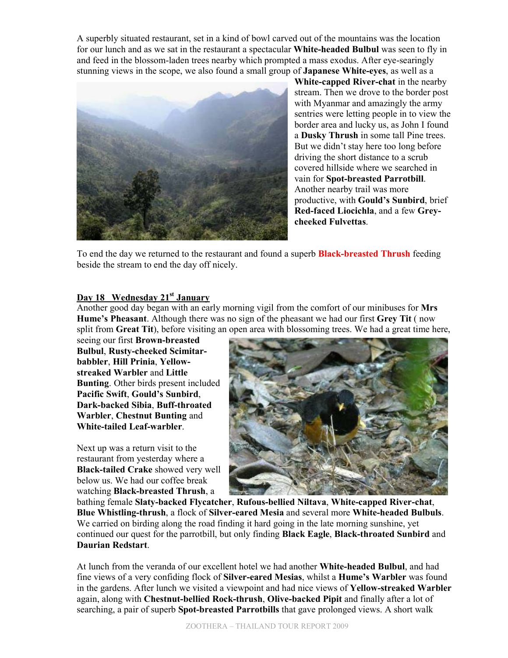A superbly situated restaurant, set in a kind of bowl carved out of the mountains was the location for our lunch and as we sat in the restaurant a spectacular **White-headed Bulbul** was seen to fly in and feed in the blossom-laden trees nearby which prompted a mass exodus. After eye-searingly stunning views in the scope, we also found a small group of **Japanese White-eyes**, as well as a



**White-capped River-chat** in the nearby stream. Then we drove to the border post with Myanmar and amazingly the army sentries were letting people in to view the border area and lucky us, as John I found a **Dusky Thrush** in some tall Pine trees. But we didn't stay here too long before driving the short distance to a scrub covered hillside where we searched in vain for **Spot-breasted Parrotbill**. Another nearby trail was more productive, with **Gould's Sunbird**, brief **Red-faced Liocichla**, and a few **Greycheeked Fulvettas**.

To end the day we returned to the restaurant and found a superb **Black-breasted Thrush** feeding beside the stream to end the day off nicely.

#### **Day 18 Wednesday 21st January**

Another good day began with an early morning vigil from the comfort of our minibuses for **Mrs Hume's Pheasant**. Although there was no sign of the pheasant we had our first **Grey Tit** ( now split from **Great Tit**), before visiting an open area with blossoming trees. We had a great time here,

seeing our first **Brown-breasted Bulbul**, **Rusty-cheeked Scimitarbabbler**, **Hill Prinia**, **Yellowstreaked Warbler** and **Little Bunting**. Other birds present included **Pacific Swift**, **Gould's Sunbird**, **Dark-backed Sibia**, **Buff-throated Warbler**, **Chestnut Bunting** and **White-tailed Leaf-warbler**.

Next up was a return visit to the restaurant from yesterday where a **Black-tailed Crake** showed very well below us. We had our coffee break watching **Black-breasted Thrush**, a



bathing female **Slaty-backed Flycatcher**, **Rufous-bellied Niltava**, **White-capped River-chat**, **Blue Whistling-thrush**, a flock of **Silver-eared Mesia** and several more **White-headed Bulbuls**. We carried on birding along the road finding it hard going in the late morning sunshine, yet continued our quest for the parrotbill, but only finding **Black Eagle**, **Black-throated Sunbird** and **Daurian Redstart**.

At lunch from the veranda of our excellent hotel we had another **White-headed Bulbul**, and had fine views of a very confiding flock of **Silver-eared Mesias**, whilst a **Hume's Warbler** was found in the gardens. After lunch we visited a viewpoint and had nice views of **Yellow-streaked Warbler** again, along with **Chestnut-bellied Rock-thrush**, **Olive-backed Pipit** and finally after a lot of searching, a pair of superb **Spot-breasted Parrotbills** that gave prolonged views. A short walk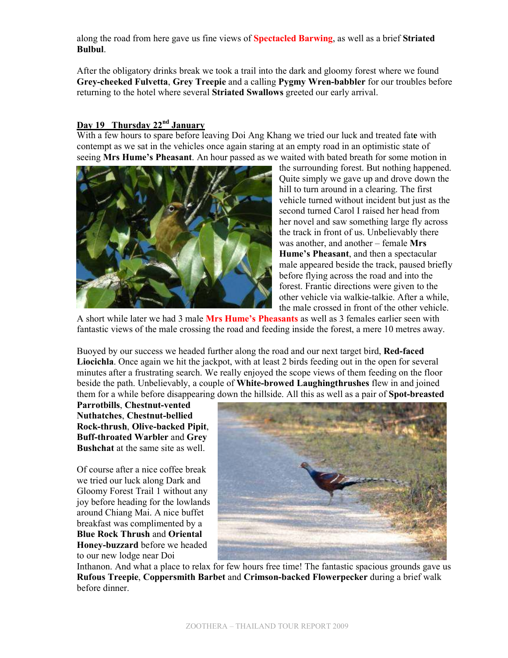along the road from here gave us fine views of **Spectacled Barwing**, as well as a brief **Striated Bulbul**.

After the obligatory drinks break we took a trail into the dark and gloomy forest where we found **Grey-cheeked Fulvetta**, **Grey Treepie** and a calling **Pygmy Wren-babbler** for our troubles before returning to the hotel where several **Striated Swallows** greeted our early arrival.

#### **Day 19 Thursday 22nd January**

With a few hours to spare before leaving Doi Ang Khang we tried our luck and treated fat**e** with contempt as we sat in the vehicles once again staring at an empty road in an optimistic state of seeing **Mrs Hume's Pheasant**. An hour passed as we waited with bated breath for some motion in



the surrounding forest. But nothing happened. Quite simply we gave up and drove down the hill to turn around in a clearing. The first vehicle turned without incident but just as the second turned Carol I raised her head from her novel and saw something large fly across the track in front of us. Unbelievably there was another, and another – female **Mrs Hume's Pheasant**, and then a spectacular male appeared beside the track, paused briefly before flying across the road and into the forest. Frantic directions were given to the other vehicle via walkie-talkie. After a while, the male crossed in front of the other vehicle.

A short while later we had 3 male **Mrs Hume's Pheasants** as well as 3 females earlier seen with fantastic views of the male crossing the road and feeding inside the forest, a mere 10 metres away.

Buoyed by our success we headed further along the road and our next target bird, **Red-faced Liocichla**. Once again we hit the jackpot, with at least 2 birds feeding out in the open for several minutes after a frustrating search. We really enjoyed the scope views of them feeding on the floor beside the path. Unbelievably, a couple of **White-browed Laughingthrushes** flew in and joined them for a while before disappearing down the hillside. All this as well as a pair of **Spot-breasted**

**Parrotbills**, **Chestnut-vented Nuthatches**, **Chestnut-bellied Rock-thrush**, **Olive-backed Pipit**, **Buff-throated Warbler** and **Grey Bushchat** at the same site as well.

Of course after a nice coffee break we tried our luck along Dark and Gloomy Forest Trail 1 without any joy before heading for the lowlands around Chiang Mai. A nice buffet breakfast was complimented by a **Blue Rock Thrush** and **Oriental Honey-buzzard** before we headed to our new lodge near Doi



Inthanon. And what a place to relax for few hours free time! The fantastic spacious grounds gave us **Rufous Treepie**, **Coppersmith Barbet** and **Crimson-backed Flowerpecker** during a brief walk before dinner.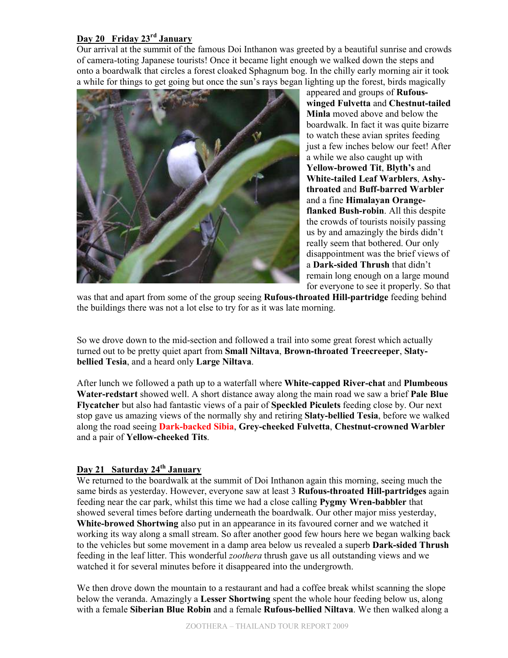## **Day 20 Friday 23rd January**

Our arrival at the summit of the famous Doi Inthanon was greeted by a beautiful sunrise and crowds of camera-toting Japanese tourists! Once it became light enough we walked down the steps and onto a boardwalk that circles a forest cloaked Sphagnum bog. In the chilly early morning air it took a while for things to get going but once the sun's rays began lighting up the forest, birds magically



appeared and groups of **Rufouswinged Fulvetta** and **Chestnut-tailed Minla** moved above and below the boardwalk. In fact it was quite bizarre to watch these avian sprites feeding just a few inches below our feet! After a while we also caught up with **Yellow-browed Tit**, **Blyth's** and **White-tailed Leaf Warblers**, **Ashythroated** and **Buff-barred Warbler** and a fine **Himalayan Orangeflanked Bush-robin**. All this despite the crowds of tourists noisily passing us by and amazingly the birds didn't really seem that bothered. Our only disappointment was the brief views of a **Dark-sided Thrush** that didn't remain long enough on a large mound for everyone to see it properly. So that

was that and apart from some of the group seeing **Rufous-throated Hill-partridge** feeding behind the buildings there was not a lot else to try for as it was late morning.

So we drove down to the mid-section and followed a trail into some great forest which actually turned out to be pretty quiet apart from **Small Niltava**, **Brown-throated Treecreeper**, **Slatybellied Tesia**, and a heard only **Large Niltava**.

After lunch we followed a path up to a waterfall where **White-capped River-chat** and **Plumbeous Water-redstart** showed well. A short distance away along the main road we saw a brief **Pale Blue Flycatcher** but also had fantastic views of a pair of **Speckled Piculets** feeding close by. Our next stop gave us amazing views of the normally shy and retiring **Slaty-bellied Tesia**, before we walked along the road seeing **Dark-backed Sibia**, **Grey-cheeked Fulvetta**, **Chestnut-crowned Warbler** and a pair of **Yellow-cheeked Tits**.

#### **Day 21 Saturday 24th January**

We returned to the boardwalk at the summit of Doi Inthanon again this morning, seeing much the same birds as yesterday. However, everyone saw at least 3 **Rufous-throated Hill-partridges** again feeding near the car park, whilst this time we had a close calling **Pygmy Wren-babbler** that showed several times before darting underneath the boardwalk. Our other major miss yesterday, **White-browed Shortwing** also put in an appearance in its favoured corner and we watched it working its way along a small stream. So after another good few hours here we began walking back to the vehicles but some movement in a damp area below us revealed a superb **Dark-sided Thrush**  feeding in the leaf litter. This wonderful *zoothera* thrush gave us all outstanding views and we watched it for several minutes before it disappeared into the undergrowth.

We then drove down the mountain to a restaurant and had a coffee break whilst scanning the slope below the veranda. Amazingly a **Lesser Shortwing** spent the whole hour feeding below us, along with a female **Siberian Blue Robin** and a female **Rufous-bellied Niltava**. We then walked along a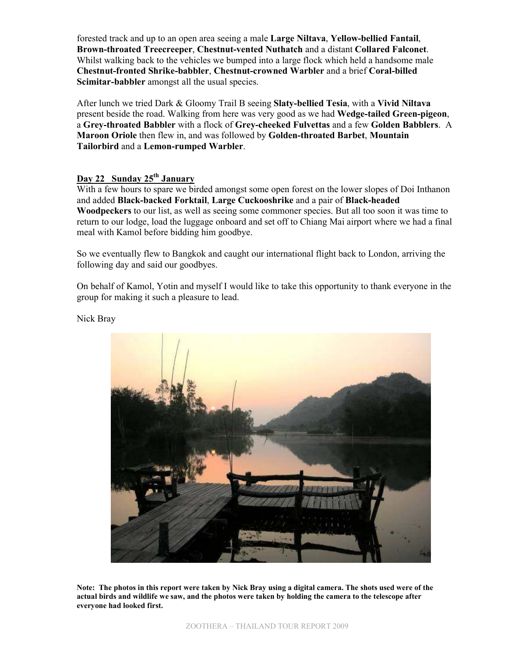forested track and up to an open area seeing a male **Large Niltava**, **Yellow-bellied Fantail**, **Brown-throated Treecreeper**, **Chestnut-vented Nuthatch** and a distant **Collared Falconet**. Whilst walking back to the vehicles we bumped into a large flock which held a handsome male **Chestnut-fronted Shrike-babbler**, **Chestnut-crowned Warbler** and a brief **Coral-billed Scimitar-babbler** amongst all the usual species.

After lunch we tried Dark & Gloomy Trail B seeing **Slaty-bellied Tesia**, with a **Vivid Niltava** present beside the road. Walking from here was very good as we had **Wedge-tailed Green-pigeon**, a **Grey-throated Babbler** with a flock of **Grey-cheeked Fulvettas** and a few **Golden Babblers**. A **Maroon Oriole** then flew in, and was followed by **Golden-throated Barbet**, **Mountain Tailorbird** and a **Lemon-rumped Warbler**.

#### **Day 22 Sunday 25th January**

With a few hours to spare we birded amongst some open forest on the lower slopes of Doi Inthanon and added **Black-backed Forktail**, **Large Cuckooshrike** and a pair of **Black-headed Woodpeckers** to our list, as well as seeing some commoner species. But all too soon it was time to return to our lodge, load the luggage onboard and set off to Chiang Mai airport where we had a final meal with Kamol before bidding him goodbye.

So we eventually flew to Bangkok and caught our international flight back to London, arriving the following day and said our goodbyes.

On behalf of Kamol, Yotin and myself I would like to take this opportunity to thank everyone in the group for making it such a pleasure to lead.

Nick Bray



**Note: The photos in this report were taken by Nick Bray using a digital camera. The shots used were of the actual birds and wildlife we saw, and the photos were taken by holding the camera to the telescope after everyone had looked first.**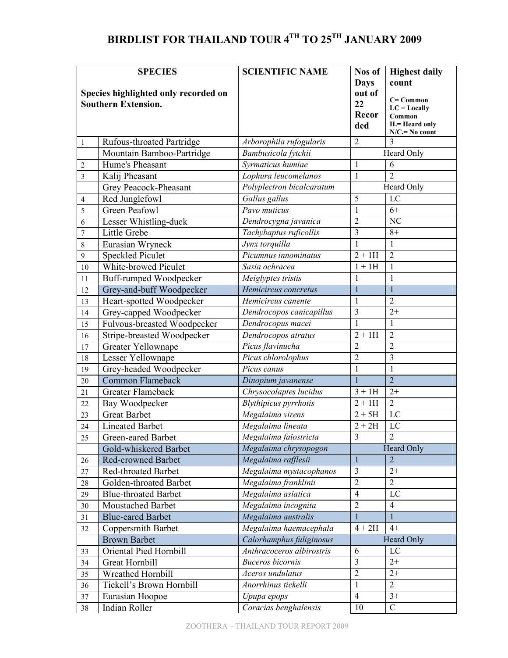# **BIRDLIST FOR THAILAND TOUR 4TH TO 25TH JANUARY 2009**

|                | <b>SPECIES</b>                       | <b>SCIENTIFIC NAME</b>    | Nos of                  | <b>Highest daily</b>     |
|----------------|--------------------------------------|---------------------------|-------------------------|--------------------------|
|                |                                      |                           | <b>Days</b>             | count                    |
|                | Species highlighted only recorded on |                           | out of                  | $C = Common$             |
|                | <b>Southern Extension.</b>           |                           | 22<br>Recor             | $LC = Locally$           |
|                |                                      |                           | ded                     | Common<br>H.= Heard only |
|                |                                      |                           |                         | $N/C = No$ count         |
| $\mathbf{1}$   | Rufous-throated Partridge            | Arborophila rufogularis   | $\overline{2}$          | $\overline{3}$           |
|                | Mountain Bamboo-Partridge            | Bambusicola fytchii       |                         | Heard Only               |
| $\overline{c}$ | Hume's Pheasant                      | Syrmaticus humiae         | 1                       | 6                        |
| $\overline{3}$ | Kalij Pheasant                       | Lophura leucomelanos      | $\mathbf{1}$            | $\overline{2}$           |
|                | Grey Peacock-Pheasant                | Polyplectron bicalcaratum |                         | Heard Only               |
| $\overline{4}$ | Red Junglefowl                       | Gallus gallus             | 5                       | LC                       |
| 5              | <b>Green Peafowl</b>                 | Pavo muticus              | 1                       | $6+$                     |
| 6              | Lesser Whistling-duck                | Dendrocygna javanica      | $\overline{c}$          | NC                       |
| 7              | Little Grebe                         | Tachybaptus ruficollis    | $\overline{\mathbf{3}}$ | $8+$                     |
| $\,$ 8 $\,$    | Eurasian Wryneck                     | Jynx torquilla            | $\mathbf{1}$            | 1                        |
| 9              | <b>Speckled Piculet</b>              | Picumnus innominatus      | $\overline{2}$ + 1H     | $\overline{2}$           |
| 10             | White-browed Piculet                 | Sasia ochracea            | $1 + 1H$                | $\mathbf{1}$             |
| 11             | Buff-rumped Woodpecker               | Meiglyptes tristis        | 1                       | 1                        |
| 12             | Grey-and-buff Woodpecker             | Hemicircus concretus      | $\mathbf{1}$            | $\mathbf{1}$             |
| 13             | Heart-spotted Woodpecker             | Hemicircus canente        | 1                       | $\overline{2}$           |
| 14             | Grey-capped Woodpecker               | Dendrocopos canicapillus  | 3                       | $2+$                     |
| 15             | Fulvous-breasted Woodpecker          | Dendrocopus macei         | 1                       | 1                        |
| 16             | Stripe-breasted Woodpecker           | Dendrocopos atratus       | $2 + 1H$                | $\overline{2}$           |
| 17             | Greater Yellownape                   | Picus flavinucha          | $\overline{2}$          | $\overline{2}$           |
| 18             | Lesser Yellownape                    | Picus chlorolophus        | $\overline{2}$          | 3                        |
| 19             | Grey-headed Woodpecker               | Picus canus               | 1                       | 1                        |
| 20             | <b>Common Flameback</b>              | Dinopium javanense        | $\mathbf{1}$            | $\overline{2}$           |
| 21             | Greater Flameback                    | Chrysocolaptes lucidus    | $3 + 1H$                | $2+$                     |
| 22             | Bay Woodpecker                       | Blythipicus pyrrhotis     | $2 + 1H$                | $\overline{2}$           |
| 23             | <b>Great Barbet</b>                  | Megalaima virens          | $2 + 5H$                | LC                       |
| 24             | <b>Lineated Barbet</b>               | Megalaima lineata         | $2 + 2H$                | LC                       |
| 25             | Green-eared Barbet                   | Megalaima faiostricta     | $\overline{3}$          | $\overline{2}$           |
|                | Gold-whiskered Barbet                | Megalaima chrysopogon     |                         | <b>Heard Only</b>        |
| 26             | <b>Red-crowned Barbet</b>            | Megalaima rafflesii       | $\mathbf{1}$            | $\overline{2}$           |
| 27             | Red-throated Barbet                  | Megalaima mystacophanos   | $\overline{\mathbf{3}}$ | $2+$                     |
| 28             | Golden-throated Barbet               | Megalaima franklinii      | $\overline{2}$          | $\overline{2}$           |
| 29             | <b>Blue-throated Barbet</b>          | Megalaima asiatica        | $\overline{4}$          | LC                       |
| 30             | Moustached Barbet                    | Megalaima incognita       | $\overline{2}$          | $\overline{4}$           |
| 31             | <b>Blue-eared Barbet</b>             | Megalaima australis       |                         | 1                        |
| 32             | Coppersmith Barbet                   | Megalaima haemacephala    | $4 + 2H$                | $4+$                     |
|                | <b>Brown Barbet</b>                  | Calorhamphus fuliginosus  |                         | Heard Only               |
| 33             | Oriental Pied Hornbill               | Anthracoceros albirostris | $\sqrt{6}$              | LC                       |
| 34             | <b>Great Hornbill</b>                | <b>Buceros</b> bicornis   | 3                       | $2+$                     |
| 35             | Wreathed Hornbill                    | Aceros undulatus          | $\overline{2}$          | $2+$                     |
| 36             | Tickell's Brown Hornbill             | Anorrhinus tickelli       | $\mathbf{1}$            | $\overline{2}$           |
| 37             | Eurasian Hoopoe                      | Upupa epops               | $\overline{4}$          | $3+$                     |
| 38             | Indian Roller                        | Coracias benghalensis     | 10                      | $\mathcal{C}$            |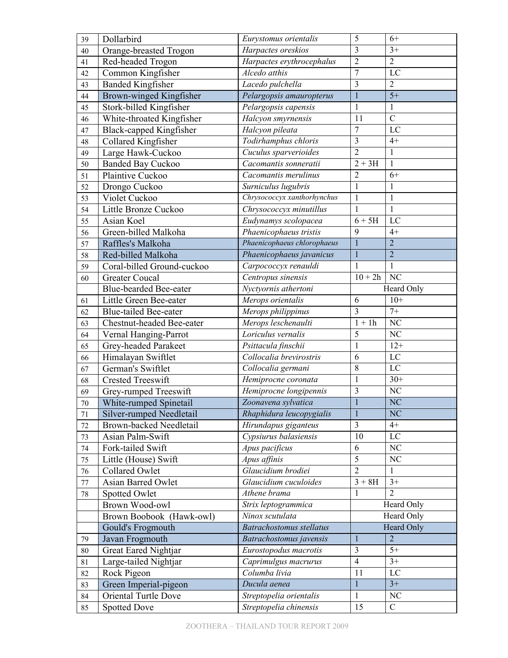| 39     | Dollarbird                     | Eurystomus orientalis              | 5                 | $6+$                   |
|--------|--------------------------------|------------------------------------|-------------------|------------------------|
| 40     | Orange-breasted Trogon         | Harpactes oreskios                 | $\overline{3}$    | $3+$                   |
| 41     | Red-headed Trogon              | Harpactes erythrocephalus          | $\overline{2}$    | $\overline{2}$         |
| 42     | Common Kingfisher              | Alcedo atthis                      | $\overline{7}$    | LC                     |
| 43     | <b>Banded Kingfisher</b>       | Lacedo pulchella                   | $\overline{3}$    | $\overline{2}$         |
| 44     | Brown-winged Kingfisher        | Pelargopsis amauropterus           | $\mathbf{1}$      | $5+$                   |
| 45     | Stork-billed Kingfisher        | Pelargopsis capensis               | $\mathbf{1}$      | $\mathbf{1}$           |
| 46     | White-throated Kingfisher      | Halcyon smyrnensis                 | 11                | $\overline{C}$         |
| 47     | <b>Black-capped Kingfisher</b> | Halcyon pileata                    | $\overline{7}$    | LC                     |
| 48     | Collared Kingfisher            | Todirhamphus chloris               | 3                 | $4+$                   |
| 49     | Large Hawk-Cuckoo              | Cuculus sparverioides              | $\overline{2}$    | $\mathbf{1}$           |
| 50     | <b>Banded Bay Cuckoo</b>       | Cacomantis sonneratii              | $2 + 3H$          | 1                      |
| 51     | Plaintive Cuckoo               | Cacomantis merulinus               | $\overline{2}$    | $6+$                   |
| 52     | Drongo Cuckoo                  | Surniculus lugubris                | $\mathbf{1}$      | 1                      |
| 53     | Violet Cuckoo                  | Chrysococcyx xanthorhynchus        | $\mathbf{1}$      | $\mathbf{1}$           |
| 54     | Little Bronze Cuckoo           | Chrysococcyx minutillus            | 1                 | 1                      |
| 55     | Asian Koel                     | Eudynamys scolopacea               | $6+5H$            | LC                     |
| 56     | Green-billed Malkoha           | Phaenicophaeus tristis             | 9                 | $4+$                   |
| 57     | Raffles's Malkoha              | Phaenicophaeus chlorophaeus        | $\mathbf{1}$      | $\overline{2}$         |
| 58     | Red-billed Malkoha             | Phaenicophaeus javanicus           | $\mathbf{1}$      | $\overline{2}$         |
| 59     | Coral-billed Ground-cuckoo     | Carpococcyx renauldi               | $\mathbf{1}$      | $\mathbf{1}$           |
| 60     | <b>Greater Coucal</b>          | Centropus sinensis                 | $10 + 2h$         | $\overline{\text{NC}}$ |
|        | Blue-bearded Bee-eater         | $\overline{N}$ yctyornis athertoni |                   | Heard Only             |
| 61     | Little Green Bee-eater         | Merops orientalis                  | 6                 | $10+$                  |
| 62     | Blue-tailed Bee-eater          | Merops philippinus                 | 3                 | $7+$                   |
| 63     | Chestnut-headed Bee-eater      | Merops leschenaulti                | $1 + 1h$          | NC                     |
| 64     | Vernal Hanging-Parrot          | Loriculus vernalis                 | 5                 | NC                     |
| 65     | Grey-headed Parakeet           | Psittacula finschii                | $\mathbf{1}$      | $12+$                  |
| 66     | Himalayan Swiftlet             | Collocalia brevirostris            | 6                 | $\rm LC$               |
| 67     | German's Swiftlet              | Collocalia germani                 | $\,8\,$           | LC                     |
| 68     | <b>Crested Treeswift</b>       | Hemiprocne coronata                | $\mathbf{1}$      | $30+$                  |
| 69     | Grey-rumped Treeswift          | Hemiprocne longipennis             | 3                 | NC                     |
| 70     | White-rumped Spinetail         | Zoonavena sylvatica                | $\mathbf{1}$      | <b>NC</b>              |
| 71     | Silver-rumped Needletail       | Rhaphidura leucopygialis           | $\mathbf{1}$      | N <sub>C</sub>         |
| $72\,$ | <b>Brown-backed Needletail</b> | Hirundapus giganteus               | 3                 | $4+$                   |
| 73     | Asian Palm-Swift               | Cypsiurus balasiensis              | 10                | LC                     |
| 74     | Fork-tailed Swift              | Apus pacificus                     | 6                 | $\rm NC$               |
| 75     | Little (House) Swift           | Apus affinis                       | 5                 | NC                     |
| 76     | Collared Owlet                 | Glaucidium brodiei                 | $\overline{2}$    | 1                      |
| $77\,$ | Asian Barred Owlet             | Glaucidium cuculoides              | $\overline{3+8H}$ | $3+$                   |
| $78\,$ | Spotted Owlet                  | Athene brama                       | 1                 | $\overline{2}$         |
|        | Brown Wood-owl                 | Strix leptogrammica                |                   | Heard Only             |
|        | Brown Boobook (Hawk-owl)       | Ninox scutulata                    |                   | Heard Only             |
|        | Gould's Frogmouth              | <b>Batrachostomus stellatus</b>    |                   | Heard Only             |
| 79     | Javan Frogmouth                | Batrachostomus javensis            | $\mathbf{1}$      | $\overline{2}$         |
| 80     | Great Eared Nightjar           | Eurostopodus macrotis              | 3                 | $5+$                   |
| 81     | Large-tailed Nightjar          | Caprimulgus macrurus               | $\overline{4}$    | $3+$                   |
| 82     | Rock Pigeon                    | Columba livia                      | 11                | LC                     |
| 83     | Green Imperial-pigeon          | Ducula aenea                       | $\mathbf{1}$      | $3+$                   |
| 84     | Oriental Turtle Dove           | Streptopelia orientalis            | $\mathbf{1}$      | NC                     |
| 85     | <b>Spotted Dove</b>            | Streptopelia chinensis             | 15                | $\overline{C}$         |
|        |                                |                                    |                   |                        |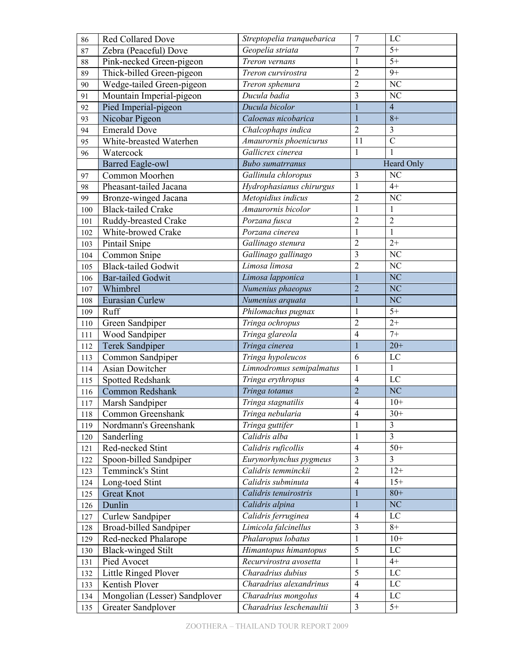| 86  | Red Collared Dove                          | Streptopelia tranquebarica | $\boldsymbol{7}$        | LC              |
|-----|--------------------------------------------|----------------------------|-------------------------|-----------------|
| 87  | Zebra (Peaceful) Dove                      | Geopelia striata           | 7                       | $5+$            |
| 88  | Pink-necked Green-pigeon                   | Treron vernans             | $\mathbf{1}$            | $5+$            |
| 89  | Thick-billed Green-pigeon                  | Treron curvirostra         | $\overline{c}$          | $9+$            |
| 90  | Wedge-tailed Green-pigeon                  | Treron sphenura            | $\overline{2}$          | NC              |
| 91  | Mountain Imperial-pigeon                   | Ducula badia               | $\overline{\mathbf{3}}$ | NC              |
| 92  | Pied Imperial-pigeon                       | Ducula bicolor             | $\mathbf{1}$            | $\overline{4}$  |
| 93  | Nicobar Pigeon                             | Caloenas nicobarica        | $\mathbf{1}$            | $8+$            |
| 94  | <b>Emerald Dove</b>                        | Chalcophaps indica         | $\overline{2}$          | 3               |
| 95  | White-breasted Waterhen                    | Amaurornis phoenicurus     | 11                      | $\overline{C}$  |
| 96  | Watercock                                  | Gallicrex cinerea          | $\mathbf{1}$            | $\mathbf{1}$    |
|     | <b>Barred Eagle-owl</b>                    | <b>Bubo</b> sumatrranus    |                         | Heard Only      |
| 97  | Common Moorhen                             | Gallinula chloropus        | $\mathfrak{Z}$          | NC              |
| 98  | Pheasant-tailed Jacana                     | Hydrophasianus chirurgus   | $\mathbf{1}$            | $4+$            |
| 99  | Bronze-winged Jacana                       | Metopidius indicus         | $\overline{c}$          | NC              |
| 100 | <b>Black-tailed Crake</b>                  | Amaurornis bicolor         | $\mathbf{1}$            | 1               |
| 101 | Ruddy-breasted Crake                       | Porzana fusca              | $\overline{2}$          | $\overline{2}$  |
| 102 | White-browed Crake                         | Porzana cinerea            | $\mathbf{1}$            | $\mathbf{1}$    |
| 103 | Pintail Snipe                              | Gallinago stenura          | $\overline{2}$          | $2+$            |
| 104 | Common Snipe                               | Gallinago gallinago        | $\overline{\mathbf{3}}$ | NC              |
| 105 | <b>Black-tailed Godwit</b>                 | Limosa limosa              | $\overline{2}$          | NC              |
| 106 | <b>Bar-tailed Godwit</b>                   | Limosa lapponica           | $\mathbf{1}$            | N <sub>C</sub>  |
| 107 | Whimbrel                                   | Numenius phaeopus          | $\overline{2}$          | N <sub>C</sub>  |
| 108 | Eurasian Curlew                            | Numenius arquata           | $\mathbf{1}$            | N <sub>C</sub>  |
| 109 | Ruff                                       | Philomachus pugnax         | $\mathbf{1}$            | $5+$            |
| 110 | Green Sandpiper                            | Tringa ochropus            | $\overline{c}$          | $2+$            |
| 111 | Wood Sandpiper                             | Tringa glareola            | $\overline{4}$          | $7+$            |
| 112 | Terek Sandpiper                            | Tringa cinerea             | $\mathbf{1}$            | $20+$           |
| 113 | Common Sandpiper                           | Tringa hypoleucos          | 6                       | LC              |
| 114 | <b>Asian Dowitcher</b>                     | Limnodromus semipalmatus   | 1                       | $\mathbf{1}$    |
| 115 | Spotted Redshank                           | Tringa erythropus          | $\overline{4}$          | LC              |
| 116 | Common Redshank                            | Tringa totanus             | $\overline{2}$          | N <sub>C</sub>  |
| 117 | <b>Marsh Sandpiper</b>                     | Tringa stagnatilis         | $\overline{4}$          | $10+$           |
| 118 | Common Greenshank                          | Tringa nebularia           | $\overline{4}$          | $30+$           |
| 119 | Nordmann's Greenshank                      | Tringa guttifer            | $\mathbf{1}$            | $\overline{3}$  |
|     |                                            | Calidris alba              | $\mathbf 1$             | $\overline{3}$  |
| 120 | Sanderling<br>Red-necked Stint             | Calidris ruficollis        | $\overline{4}$          | $50+$           |
| 121 |                                            | Eurynorhynchus pygmeus     | 3                       | 3               |
| 122 | Spoon-billed Sandpiper<br>Temminck's Stint | Calidris temminckii        | $\overline{2}$          | $12+$           |
| 123 |                                            | Calidris subminuta         | $\overline{4}$          | $15+$           |
| 124 | Long-toed Stint<br><b>Great Knot</b>       | Calidris tenuirostris      | $\mathbf{1}$            | $80+$           |
| 125 |                                            |                            |                         |                 |
| 126 | Dunlin                                     | Calidris alpina            | $\mathbf{1}$            | N <sub>C</sub>  |
| 127 | <b>Curlew Sandpiper</b>                    | Calidris ferruginea        | $\overline{4}$          | LC              |
| 128 | <b>Broad-billed Sandpiper</b>              | Limicola falcinellus       | $\overline{3}$          | $8+$            |
| 129 | Red-necked Phalarope                       | Phalaropus lobatus         | $\mathbf{1}$            | $10+$           |
| 130 | <b>Black-winged Stilt</b>                  | Himantopus himantopus      | 5                       | LC              |
| 131 | Pied Avocet                                | Recurvirostra avosetta     | 1                       | $4+$            |
| 132 | Little Ringed Plover                       | Charadrius dubius          | 5                       | LC              |
| 133 | Kentish Plover                             | Charadrius alexandrinus    | $\overline{4}$          | $\rm LC$        |
| 134 | Mongolian (Lesser) Sandplover              | Charadrius mongolus        | $\overline{4}$          | ${\rm LC}$      |
| 135 | Greater Sandplover                         | Charadrius leschenaultii   | 3                       | $\overline{5+}$ |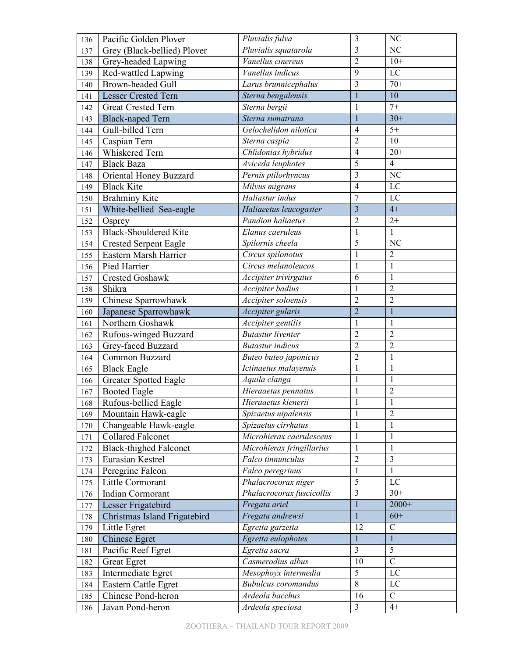| 136 | Pacific Golden Plover         | Pluvialis fulva            | 3                       | NC              |
|-----|-------------------------------|----------------------------|-------------------------|-----------------|
| 137 | Grey (Black-bellied) Plover   | Pluvialis squatarola       | $\overline{3}$          | NC              |
| 138 | Grey-headed Lapwing           | Vanellus cinereus          | $\overline{2}$          | $10+$           |
| 139 | Red-wattled Lapwing           | Vanellus indicus           | 9                       | LC              |
| 140 | Brown-headed Gull             | Larus brunnicephalus       | 3                       | $70+$           |
| 141 | <b>Lesser Crested Tern</b>    | Sterna bengalensis         | $\mathbf{1}$            | 10              |
| 142 | <b>Great Crested Tern</b>     | Sterna bergii              | $\mathbf{1}$            | $7+$            |
| 143 | <b>Black-naped Tern</b>       | Sterna sumatrana           | $\mathbf{1}$            | $30+$           |
| 144 | Gull-billed Tern              | Gelochelidon nilotica      | $\overline{4}$          | $5+$            |
| 145 | Caspian Tern                  | Sterna caspia              | $\overline{2}$          | 10              |
| 146 | Whiskered Tern                | Chlidonias hybridus        | $\overline{4}$          | $20+$           |
| 147 | <b>Black Baza</b>             | Aviceda leuphotes          | 5                       | $\overline{4}$  |
| 148 | Oriental Honey Buzzard        | Pernis ptilorhyncus        | 3                       | NC              |
| 149 | <b>Black Kite</b>             | Milvus migrans             | $\overline{4}$          | $\overline{LC}$ |
| 150 | <b>Brahminy Kite</b>          | Haliastur indus            | $\overline{7}$          | LC              |
| 151 | White-bellied Sea-eagle       | Haliaeetus leucogaster     | $\overline{\mathbf{3}}$ | $4+$            |
| 152 | Osprey                        | <b>Pandion haliaetus</b>   | $\overline{2}$          | $2+$            |
| 153 | <b>Black-Shouldered Kite</b>  | Elanus caeruleus           | $\mathbf{1}$            | 1               |
| 154 | <b>Crested Serpent Eagle</b>  | Spilornis cheela           | 5                       | NC              |
| 155 | Eastern Marsh Harrier         | Circus spilonotus          | $\,1$                   | $\overline{2}$  |
| 156 | Pied Harrier                  | Circus melanoleucos        | 1                       | $\mathbf{1}$    |
| 157 | Crested Goshawk               | Accipiter trivirgatus      | 6                       | $\mathbf{1}$    |
| 158 | Shikra                        | Accipiter badius           | 1                       | $\overline{2}$  |
| 159 | Chinese Sparrowhawk           | Accipiter soloensis        | $\overline{2}$          | $\overline{2}$  |
| 160 | Japanese Sparrowhawk          | Accipiter gularis          | $\overline{2}$          | $\overline{1}$  |
| 161 | Northern Goshawk              | Accipiter gentilis         | $\mathbf{1}$            | $\mathbf{1}$    |
| 162 | Rufous-winged Buzzard         | <b>Butastur</b> liventer   | $\overline{2}$          | $\overline{2}$  |
| 163 | Grey-faced Buzzard            | <b>Butastur</b> indicus    | $\overline{2}$          | $\overline{2}$  |
| 164 | Common Buzzard                | Buteo buteo japonicus      | $\overline{2}$          | 1               |
| 165 | <b>Black Eagle</b>            | Ictinaetus malayensis      | 1                       | 1               |
| 166 | <b>Greater Spotted Eagle</b>  | Aquila clanga              | $\mathbf{1}$            | $\mathbf{1}$    |
| 167 | <b>Booted Eagle</b>           | Hieraaetus pennatus        | $\mathbf{1}$            | $\overline{2}$  |
| 168 | Rufous-bellied Eagle          | Hieraaetus kienerii        | 1                       | 1               |
| 169 | Mountain Hawk-eagle           | Spizaetus nipalensis       | 1                       | $\overline{2}$  |
| 170 | Changeable Hawk-eagle         | Spizaetus cirrhatus        | $\mathbf{1}$            | 1               |
| 171 | Collared Falconet             | Microhierax caerulescens   | $\mathbf{1}$            | $\mathbf{1}$    |
| 172 | <b>Black-thighed Falconet</b> | Microhierax fringillarius  | $\mathbf{1}$            | 1               |
| 173 | Eurasian Kestrel              | Falco tinnunculus          | $\mathbf{2}$            | 3               |
| 174 | Peregrine Falcon              | Falco peregrinus           | $\mathbf{1}$            | $\mathbf{1}$    |
| 175 | Little Cormorant              | Phalacrocorax niger        | 5                       | $\rm LC$        |
| 176 | Indian Cormorant              | Phalacrocorax fuscicollis  | $\overline{3}$          | $30+$           |
| 177 | Lesser Frigatebird            | Fregata ariel              | $\mathbf{1}$            | $2000+$         |
| 178 | Christmas Island Frigatebird  | Fregata andrewsi           | $\mathbf{1}$            | $60+$           |
| 179 | Little Egret                  | Egretta garzetta           | 12                      | $\mathcal{C}$   |
| 180 | <b>Chinese Egret</b>          | Egretta eulophotes         | $\mathbf{1}$            | $\mathbf{1}$    |
| 181 | Pacific Reef Egret            | Egretta sacra              | $\overline{3}$          | 5               |
| 182 | <b>Great Egret</b>            | Casmerodius albus          | 10                      | $\overline{C}$  |
| 183 | Intermediate Egret            | Mesophoyx intermedia       | 5                       | LC              |
| 184 | Eastern Cattle Egret          | <b>Bubulcus</b> coromandus | $\overline{8}$          | $\rm LC$        |
| 185 | Chinese Pond-heron            | Ardeola bacchus            | 16                      | $\overline{C}$  |
| 186 | Javan Pond-heron              | Ardeola speciosa           | $\overline{3}$          | $4+$            |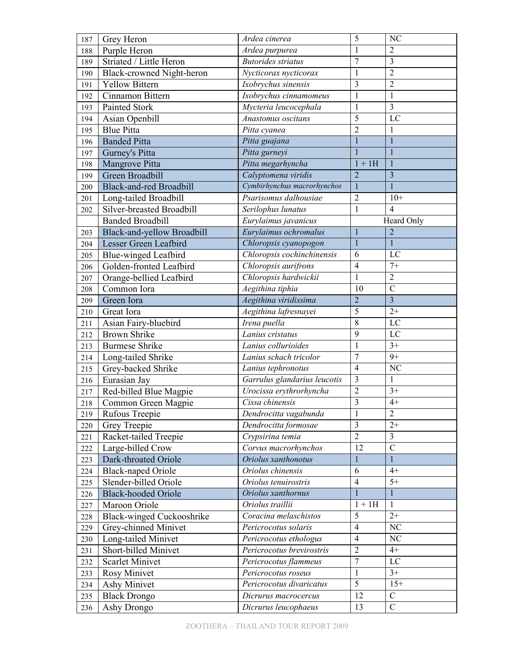| 187 | Grey Heron                       | Ardea cinerea                | 5                       | NC                      |
|-----|----------------------------------|------------------------------|-------------------------|-------------------------|
| 188 | Purple Heron                     | Ardea purpurea               | 1                       | $\overline{2}$          |
| 189 | Striated / Little Heron          | <b>Butorides striatus</b>    | $\overline{7}$          | $\overline{3}$          |
| 190 | Black-crowned Night-heron        | Nycticorax nycticorax        | 1                       | $\overline{2}$          |
| 191 | <b>Yellow Bittern</b>            | Ixobrychus sinensis          | $\overline{3}$          | $\overline{2}$          |
| 192 | Cinnamon Bittern                 | Ixobrychus cinnamomeus       | $\mathbf{1}$            | $\mathbf{1}$            |
| 193 | Painted Stork                    | Mycteria leucocephala        | $\mathbf{1}$            | $\overline{3}$          |
| 194 | Asian Openbill                   | Anastomus oscitans           | 5                       | LC                      |
| 195 | <b>Blue Pitta</b>                | Pitta cyanea                 | $\overline{2}$          | 1                       |
| 196 | <b>Banded Pitta</b>              | Pitta guajana                | $\mathbf{1}$            | $\mathbf{1}$            |
| 197 | Gurney's Pitta                   | Pitta gurneyi                | $\mathbf{1}$            | $\mathbf{1}$            |
| 198 | Mangrove Pitta                   | Pitta megarhyncha            | $1 + 1H$                |                         |
| 199 | Green Broadbill                  | Calyptomena viridis          | $\overline{2}$          | 3                       |
| 200 | <b>Black-and-red Broadbill</b>   | Cymbirhynchus macrorhynchos  | $\mathbf{1}$            | $\overline{1}$          |
| 201 | Long-tailed Broadbill            | Psarisomus dalhousiae        | $\overline{c}$          | $10+$                   |
| 202 | Silver-breasted Broadbill        | Serilophus lunatus           | $\mathbf{1}$            | $\overline{4}$          |
|     | <b>Banded Broadbill</b>          | Eurylaimus javanicus         |                         | Heard Only              |
| 203 | Black-and-yellow Broadbill       | Eurylaimus ochromalus        | $\mathbf{1}$            | $\overline{2}$          |
| 204 | Lesser Green Leafbird            | Chloropsis cyanopogon        | $\mathbf{1}$            | $\mathbf{1}$            |
| 205 | Blue-winged Leafbird             | Chloropsis cochinchinensis   | 6                       | LC                      |
| 206 | Golden-fronted Leafbird          | Chloropsis aurifrons         | $\overline{4}$          | $7+$                    |
| 207 | Orange-bellied Leafbird          | Chloropsis hardwickii        |                         | $\overline{2}$          |
| 208 | Common Iora                      | Aegithina tiphia             | 10                      | $\overline{C}$          |
| 209 | Green Iora                       | Aegithina viridissima        | $\overline{2}$          | $\overline{3}$          |
| 210 | Great Iora                       | Aegithina lafresnayei        | 5                       | $2+$                    |
| 211 | Asian Fairy-bluebird             | Irena puella                 | 8                       | LC                      |
| 212 | <b>Brown Shrike</b>              | Lanius cristatus             | 9                       | LC                      |
| 213 | <b>Burmese Shrike</b>            | Lanius collurioides          | $\mathbf{1}$            | $3+$                    |
| 214 | Long-tailed Shrike               | Lanius schach tricolor       | $\overline{7}$          | $9+$                    |
| 215 | Grey-backed Shrike               | Lanius tephronotus           | $\overline{4}$          | NC                      |
| 216 | Eurasian Jay                     | Garrulus glandarius leucotis | 3                       | $\mathbf{1}$            |
| 217 | Red-billed Blue Magpie           | Urocissa erythrorhyncha      | $\overline{2}$          | $3+$                    |
| 218 | Common Green Magpie              | Cissa chinensis              | $\overline{3}$          | $4+$                    |
| 219 | Rufous Treepie                   | Dendrocitta vagabunda        | 1                       | $\overline{2}$          |
| 220 | Grey Treepie                     | Dendrocitta formosae         | $\overline{\mathbf{3}}$ | $2+$                    |
| 221 | Racket-tailed Treepie            | Crypsirina temia             | $\overline{2}$          | $\overline{\mathbf{3}}$ |
| 222 | Large-billed Crow                | Corvus macrorhynchos         | 12                      | $\overline{C}$          |
| 223 | Dark-throated Oriole             | Oriolus xanthonotus          | 1                       | 1                       |
| 224 | <b>Black-naped Oriole</b>        | Oriolus chinensis            | 6                       | $4+$                    |
| 225 | Slender-billed Oriole            | Oriolus tenuirostris         | $\overline{4}$          | $\overline{5+}$         |
| 226 | <b>Black-hooded Oriole</b>       | Oriolus xanthornus           | 1                       | 1                       |
| 227 | Maroon Oriole                    | Oriolus traillii             | $\overline{1}$ + 1H     | $\mathbf{1}$            |
| 228 | <b>Black-winged Cuckooshrike</b> | Coracina melaschistos        | 5                       | $2+$                    |
| 229 | Grey-chinned Minivet             | Pericrocotus solaris         | $\overline{4}$          | $\rm NC$                |
| 230 | Long-tailed Minivet              | Pericrocotus ethologus       | $\overline{4}$          | NC                      |
| 231 | Short-billed Minivet             | Pericrocotus brevirostris    | $\overline{2}$          | $4+$                    |
| 232 | <b>Scarlet Minivet</b>           | Pericrocotus flammeus        | $\overline{7}$          | $\mathbf{LC}$           |
| 233 | Rosy Minivet                     | Pericrocotus roseus          | $\mathbf{1}$            | $3+$                    |
| 234 | Ashy Minivet                     | Pericrocotus divaricatus     | 5                       | $15+$                   |
| 235 | <b>Black Drongo</b>              | Dicrurus macrocercus         | 12                      | $\mathcal{C}$           |
| 236 | Ashy Drongo                      | Dicrurus leucophaeus         | 13                      | $\overline{C}$          |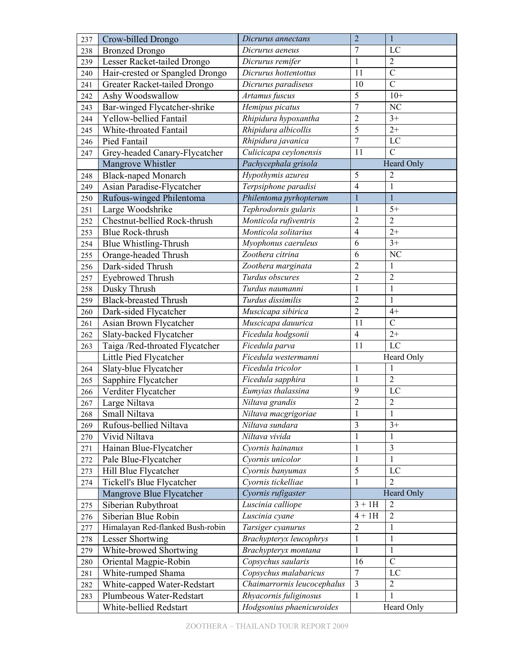| 237 | Crow-billed Drongo               | Dicrurus annectans            | $\overline{2}$ | $\mathbf{1}$   |
|-----|----------------------------------|-------------------------------|----------------|----------------|
| 238 | <b>Bronzed Drongo</b>            | Dicrurus aeneus               | $\overline{7}$ | LC             |
| 239 | Lesser Racket-tailed Drongo      | Dicrurus remifer              | $\mathbf{1}$   | $\overline{2}$ |
| 240 | Hair-crested or Spangled Drongo  | Dicrurus hottentottus         | 11             | $\overline{C}$ |
| 241 | Greater Racket-tailed Drongo     | Dicrurus paradiseus           | 10             | $\overline{C}$ |
| 242 | Ashy Woodswallow                 | Artamus fuscus                | $\overline{5}$ | $10+$          |
| 243 | Bar-winged Flycatcher-shrike     | Hemipus picatus               | $\overline{7}$ | NC             |
| 244 | Yellow-bellied Fantail           | Rhipidura hypoxantha          | $\overline{c}$ | $3+$           |
| 245 | White-throated Fantail           | Rhipidura albicollis          | 5              | $2+$           |
| 246 | Pied Fantail                     | Rhipidura javanica            | $\overline{7}$ | LC             |
| 247 | Grey-headed Canary-Flycatcher    | Culicicapa ceylonensis        | 11             | $\overline{C}$ |
|     | Mangrove Whistler                | Pachycephala grisola          |                | Heard Only     |
| 248 | <b>Black-naped Monarch</b>       | Hypothymis azurea             | 5              | $\overline{c}$ |
| 249 | Asian Paradise-Flycatcher        | Terpsiphone paradisi          | $\overline{4}$ | $\mathbf{1}$   |
| 250 | Rufous-winged Philentoma         | Philentoma pyrhopterum        | 1              | $\mathbf{1}$   |
| 251 | Large Woodshrike                 | Tephrodornis gularis          | 1              | $5+$           |
| 252 | Chestnut-bellied Rock-thrush     | Monticola rufiventris         | $\overline{2}$ | $\overline{2}$ |
| 253 | <b>Blue Rock-thrush</b>          | Monticola solitarius          | $\overline{4}$ | $2+$           |
| 254 | Blue Whistling-Thrush            | Myophonus caeruleus           | 6              | $3+$           |
| 255 | Orange-headed Thrush             | Zoothera citrina              | 6              | NC             |
| 256 | Dark-sided Thrush                | Zoothera marginata            | $\overline{c}$ | 1              |
| 257 | <b>Eyebrowed Thrush</b>          | Turdus obscures               | $\overline{2}$ | $\overline{c}$ |
| 258 | Dusky Thrush                     | $\overline{T}$ urdus naumanni | 1              | $\mathbf{1}$   |
| 259 | <b>Black-breasted Thrush</b>     | Turdus dissimilis             | $\overline{2}$ | $\mathbf{1}$   |
| 260 | Dark-sided Flycatcher            | Muscicapa sibirica            | $\overline{2}$ | $4+$           |
| 261 | Asian Brown Flycatcher           | Muscicapa dauurica            | 11             | $\mathcal{C}$  |
| 262 | Slaty-backed Flycatcher          | Ficedula hodgsonii            | $\overline{4}$ | $2+$           |
| 263 | Taiga / Red-throated Flycatcher  | Ficedula parva                | 11             | LC             |
|     | Little Pied Flycatcher           | Ficedula westermanni          |                | Heard Only     |
| 264 | Slaty-blue Flycatcher            | Ficedula tricolor             | 1              | 1              |
| 265 | Sapphire Flycatcher              | Ficedula sapphira             | $\mathbf{1}$   | $\overline{2}$ |
| 266 | Verditer Flycatcher              | Eumyias thalassina            | 9              | LC             |
| 267 | Large Niltava                    | Niltava grandis               | $\overline{c}$ | $\overline{c}$ |
| 268 | Small Niltava                    | Niltava macgrigoriae          | $\mathbf{1}$   | 1              |
| 269 | Rufous-bellied Niltava           | Niltava sundara               | $\overline{3}$ | $3+$           |
| 270 | Vivid Niltava                    | Niltava vivida                | $\mathbf 1$    | 1              |
| 271 | Hainan Blue-Flycatcher           | Cyornis hainanus              | $\mathbf{1}$   | $\mathfrak{Z}$ |
| 272 | Pale Blue-Flycatcher             | Cyornis unicolor              | 1              | 1              |
| 273 | Hill Blue Flycatcher             | Cyornis banyumas              | 5              | LC             |
| 274 | Tickell's Blue Flycatcher        | Cyornis tickelliae            | $\mathbf{1}$   | $\overline{2}$ |
|     | Mangrove Blue Flycatcher         | Cyornis rufigaster            |                | Heard Only     |
| 275 | Siberian Rubythroat              | Luscinia calliope             | $3 + 1H$       | $\overline{2}$ |
| 276 | Siberian Blue Robin              | Luscinia cyane                | $4 + 1H$       | $\overline{2}$ |
| 277 | Himalayan Red-flanked Bush-robin | Tarsiger cyanurus             | $\overline{2}$ | 1              |
| 278 | Lesser Shortwing                 | Brachypteryx leucophrys       | $\mathbf{1}$   | 1              |
| 279 | White-browed Shortwing           | Brachypteryx montana          | $\mathbf{1}$   | 1              |
| 280 | Oriental Magpie-Robin            | Copsychus saularis            | 16             | $\mathcal{C}$  |
| 281 | White-rumped Shama               | Copsychus malabaricus         | $\overline{7}$ | LC             |
| 282 | White-capped Water-Redstart      | Chaimarrornis leucocephalus   | 3              | $\overline{2}$ |
| 283 | Plumbeous Water-Redstart         | Rhyacornis fuliginosus        | $\mathbf{1}$   | $\mathbf{1}$   |
|     | White-bellied Redstart           | Hodgsonius phaenicuroides     |                | Heard Only     |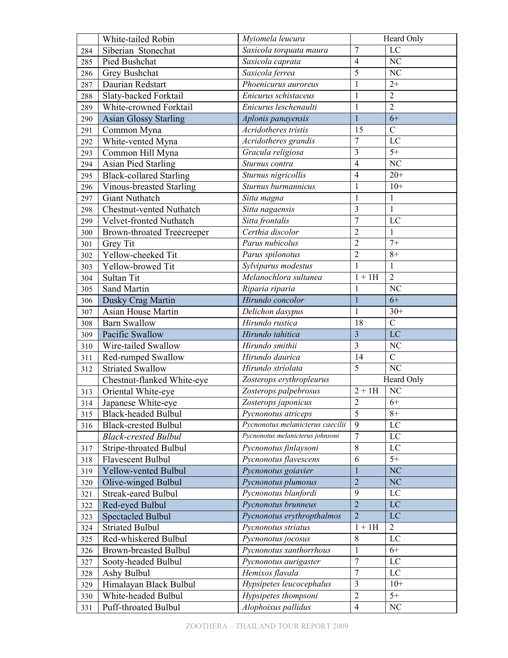|            | White-tailed Robin                | Myiomela leucura                 |                         | Heard Only             |
|------------|-----------------------------------|----------------------------------|-------------------------|------------------------|
| 284        | Siberian Stonechat                | Saxicola torquata maura          | 7                       | LC                     |
| 285        | Pied Bushchat                     | Saxicola caprata                 | $\overline{4}$          | $\overline{\text{NC}}$ |
| 286        | Grey Bushchat                     | Saxicola ferrea                  | 5                       | NC                     |
| 287        | Daurian Redstart                  | Phoenicurus auroreus             | $\mathbf 1$             | $2+$                   |
| 288        | Slaty-backed Forktail             | Enicurus schistaceus             | $\mathbf{1}$            | $\overline{2}$         |
| 289        | White-crowned Forktail            | Enicurus leschenaulti            | $\mathbf{1}$            | $\overline{2}$         |
| 290        | <b>Asian Glossy Starling</b>      | Aplonis panayensis               | $\mathbf{1}$            | $6+$                   |
| 291        | Common Myna                       | Acridotheres tristis             | 15                      | $\mathcal{C}$          |
| 292        | White-vented Myna                 | Acridotheres grandis             | $\tau$                  | LC                     |
| 293        | Common Hill Myna                  | Gracula religiosa                | $\overline{\mathbf{3}}$ | $5+$                   |
| 294        | <b>Asian Pied Starling</b>        | $\overline{S}$ turnus contra     | $\overline{4}$          | NC                     |
| 295        | <b>Black-collared Starling</b>    | Sturnus nigricollis              | $\overline{4}$          | $20+$                  |
| 296        | Vinous-breasted Starling          | Sturnus burmannicus              | $\mathbf{1}$            | $10+$                  |
| 297        | <b>Giant Nuthatch</b>             | Sitta magna                      | $\mathbf{1}$            | $\mathbf{1}$           |
| 298        | Chestnut-vented Nuthatch          | Sitta nagaensis                  | 3                       | 1                      |
| 299        | Velvet-fronted Nuthatch           | Sitta frontalis                  | $\overline{7}$          | LC                     |
| 300        | <b>Brown-throated Treecreeper</b> | Certhia discolor                 | $\overline{2}$          | $\mathbf{1}$           |
| 301        | <b>Grey Tit</b>                   | Parus nubicolus                  | $\overline{2}$          | $7+$                   |
| 302        | Yellow-cheeked Tit                | Parus spilonotus                 | $\overline{2}$          | $8+$                   |
| 303        | Yellow-browed Tit                 | Sylviparus modestus              | $\mathbf{1}$            | $\mathbf{1}$           |
| 304        | Sultan Tit                        | Melanochlora sultanea            |                         | $\overline{2}$         |
| 305        | Sand Martin                       | Riparia riparia                  | $1 + 1H$<br>1           | NC                     |
| 306        | Dusky Crag Martin                 | Hirundo concolor                 | $\mathbf{1}$            | $6+$                   |
| 307        | Asian House Martin                | Delichon dasypus                 | 1                       | $30+$                  |
| 308        | <b>Barn Swallow</b>               | Hirundo rustica                  | 18                      | $\overline{C}$         |
| 309        | Pacific Swallow                   | Hirundo tahitica                 | $\overline{\mathbf{3}}$ | LC                     |
| 310        | Wire-tailed Swallow               | Hirundo smithii                  | $\overline{3}$          | NC                     |
| 311        | Red-rumped Swallow                | Hirundo daurica                  | 14                      | $\overline{C}$         |
| 312        | <b>Striated Swallow</b>           | Hirundo striolata                | 5                       | N <sub>C</sub>         |
|            | Chestnut-flanked White-eye        | Zosterops erythropleurus         |                         | Heard Only             |
| 313        | Oriental White-eye                | Zosterops palpebrosus            | $2 + 1H$                | NC                     |
| 314        | Japanese White-eye                | Zosterops japonicus              | $\overline{2}$          | $6+$                   |
| 315        | <b>Black-headed Bulbul</b>        | Pycnonotus atriceps              | 5                       | $8+$                   |
| 316        | <b>Black-crested Bulbul</b>       | Pycnonotus melanicterus caecilii | $\overline{9}$          | LC                     |
|            | <b>Black-crested Bulbul</b>       | Pycnonotus melanicterus johnsoni | $\overline{7}$          | LC                     |
|            | Stripe-throated Bulbul            | Pycnonotus finlaysoni            | 8                       | LC                     |
| 317        | <b>Flavescent Bulbul</b>          | Pycnonotus flavescens            | 6                       | $5+$                   |
| 318<br>319 | Yellow-vented Bulbul              | Pycnonotus goiavier              | $\mathbf{1}$            | <b>NC</b>              |
|            | Olive-winged Bulbul               | Pycnonotus plumosus              | $\overline{2}$          | NC                     |
| 320<br>321 | <b>Streak-eared Bulbul</b>        | Pycnonotus blanfordi             | 9                       | LC                     |
|            | Red-eyed Bulbul                   | Pycnonotus brunneus              | $\overline{2}$          | $\rm LC$               |
| 322<br>323 | <b>Spectacled Bulbul</b>          | Pycnonotus erythropthalmos       | $\overline{2}$          | LC                     |
|            | <b>Striated Bulbul</b>            |                                  | $1 + 1H$                | $\overline{2}$         |
| 324        | Red-whiskered Bulbul              | Pycnonotus striatus              | 8                       | LC                     |
| 325        |                                   | Pycnonotus jocosus               | $\mathbf{1}$            | $6+$                   |
| 326        | <b>Brown-breasted Bulbul</b>      | Pycnonotus xanthorrhous          | $\overline{7}$          |                        |
| 327        | Sooty-headed Bulbul               | Pycnonotus aurigaster            |                         | LC                     |
| 328        | Ashy Bulbul                       | Hemixos flavala                  | $\boldsymbol{7}$        | LC                     |
| 329        | Himalayan Black Bulbul            | Hypsipetes leucocephalus         | 3                       | $10+$                  |
| 330        | White-headed Bulbul               | Hypsipetes thompsoni             | $\overline{2}$          | $5+$                   |
| 331        | Puff-throated Bulbul              | Alophoixus pallidus              | $\overline{4}$          | $\rm NC$               |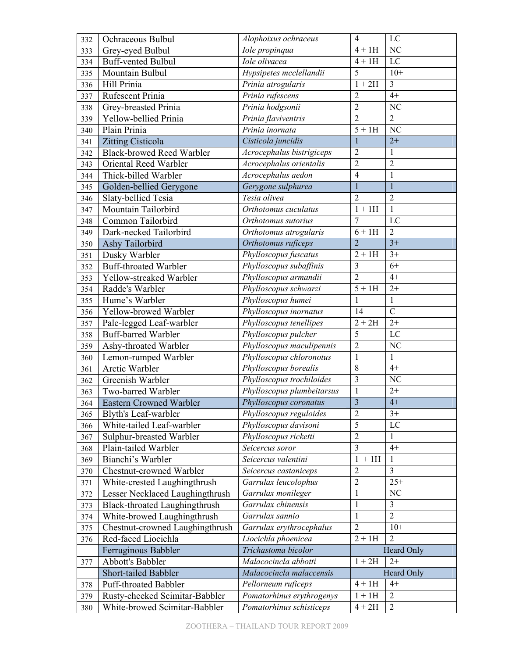| 332 | Ochraceous Bulbul                | $\overline{4}$<br>LC<br>Alophoixus ochraceus |                         |                |
|-----|----------------------------------|----------------------------------------------|-------------------------|----------------|
| 333 | Grey-eyed Bulbul                 | Iole propinqua                               | $4 + 1H$                | NC             |
| 334 | <b>Buff-vented Bulbul</b>        | Iole olivacea                                | $4 + 1H$                | $\rm LC$       |
| 335 | Mountain Bulbul                  | Hypsipetes mcclellandii                      | 5                       | $10+$          |
| 336 | Hill Prinia                      | Prinia atrogularis                           | $1 + 2H$                | 3              |
| 337 | Rufescent Prinia                 | Prinia rufescens                             | $\overline{2}$          | $4+$           |
| 338 | Grey-breasted Prinia             | Prinia hodgsonii                             | $\overline{2}$          | NC             |
| 339 | Yellow-bellied Prinia            | Prinia flaviventris                          | $\overline{2}$          | $\overline{2}$ |
| 340 | Plain Prinia                     | Prinia inornata                              | $\overline{5}$ + 1H     | NC             |
| 341 | Zitting Cisticola                | Cisticola juncidis                           | $\mathbf{1}$            | $2+$           |
| 342 | <b>Black-browed Reed Warbler</b> | Acrocephalus bistrigiceps                    | $\overline{2}$          | $\mathbf{1}$   |
| 343 | Oriental Reed Warbler            | Acrocephalus orientalis                      | $\overline{2}$          | $\overline{2}$ |
| 344 | Thick-billed Warbler             | Acrocephalus aedon                           | $\overline{4}$          | $\mathbf{1}$   |
| 345 | Golden-bellied Gerygone          | Gerygone sulphurea                           | $\mathbf{1}$            | $\mathbf{1}$   |
| 346 | Slaty-bellied Tesia              | Tesia olivea                                 | $\overline{2}$          | $\overline{2}$ |
| 347 | Mountain Tailorbird              | Orthotomus cuculatus                         | $\overline{1}$ + 1H     | 1              |
| 348 | Common Tailorbird                | Orthotomus sutorius                          | $\overline{7}$          | LC             |
| 349 | Dark-necked Tailorbird           | Orthotomus atrogularis                       | $6+1H$                  | $\overline{2}$ |
| 350 | Ashy Tailorbird                  | Orthotomus ruficeps                          | $\overline{2}$          | $3+$           |
| 351 | Dusky Warbler                    | Phylloscopus fuscatus                        | $2+1H$                  | $3+$           |
| 352 | <b>Buff-throated Warbler</b>     | Phylloscopus subaffinis                      | 3                       | $6+$           |
| 353 | Yellow-streaked Warbler          | Phylloscopus armandii                        | $\overline{2}$          | $4+$           |
| 354 | Radde's Warbler                  | Phylloscopus schwarzi                        | $5 + 1H$                | $2+$           |
| 355 | Hume's Warbler                   | Phylloscopus humei                           | 1                       | 1              |
| 356 | Yellow-browed Warbler            | Phylloscopus inornatus                       | $\overline{14}$         | $\overline{C}$ |
| 357 | Pale-legged Leaf-warbler         | Phylloscopus tenellipes                      | $2 + 2H$                | $2+$           |
| 358 | Buff-barred Warbler              | Phylloscopus pulcher                         | $\overline{5}$          | LC             |
| 359 | Ashy-throated Warbler            | Phylloscopus maculipennis                    | $\overline{2}$          | NC             |
| 360 | Lemon-rumped Warbler             | Phylloscopus chloronotus                     | $\mathbf{1}$            | $\mathbf{1}$   |
| 361 | Arctic Warbler                   | Phylloscopus borealis                        | 8                       | $4+$           |
| 362 | Greenish Warbler                 | Phylloscopus trochiloides                    | 3                       | NC             |
| 363 | Two-barred Warbler               | Phylloscopus plumbeitarsus                   | $\mathbf 1$             | $2+$           |
| 364 | <b>Eastern Crowned Warbler</b>   | Phylloscopus coronatus                       | $\overline{\mathbf{3}}$ | $4+$           |
| 365 | Blyth's Leaf-warbler             | Phylloscopus reguloides                      | $\overline{2}$          | $3+$           |
| 366 | White-tailed Leaf-warbler        | Phylloscopus davisoni                        | 5                       | LC             |
| 367 | Sulphur-breasted Warbler         | Phylloscopus ricketti                        | $\overline{2}$          | 1              |
| 368 | Plain-tailed Warbler             | Seicercus soror                              | 3                       | $4+$           |
| 369 | Bianchi's Warbler                | Seicercus valentini                          | $1 + 1H$                | 1              |
| 370 | Chestnut-crowned Warbler         | Seicercus castaniceps                        | $\overline{2}$          | $\overline{3}$ |
| 371 | White-crested Laughingthrush     | Garrulax leucolophus                         | $\overline{c}$          | $25+$          |
| 372 | Lesser Necklaced Laughingthrush  | Garrulax monileger                           | $\mathbf{1}$            | NC             |
| 373 | Black-throated Laughingthrush    | Garrulax chinensis                           | 1                       | 3              |
| 374 | White-browed Laughingthrush      | Garrulax sannio                              | $\mathbf{1}$            | $\overline{2}$ |
| 375 | Chestnut-crowned Laughingthrush  | Garrulax erythrocephalus                     | $\overline{2}$          | $10+$          |
| 376 | Red-faced Liocichla              | Liocichla phoenicea                          | $2 + 1H$                | $\overline{2}$ |
|     | Ferruginous Babbler              | Trichastoma bicolor                          |                         | Heard Only     |
| 377 | Abbott's Babbler                 | Malacocincla abbotti                         | $1+2H$                  | $2+$           |
|     | Short-tailed Babbler             | Malacocincla malaccensis                     |                         | Heard Only     |
| 378 | <b>Puff-throated Babbler</b>     | Pellorneum ruficeps                          | $4 + 1H$                | $4+$           |
| 379 | Rusty-cheeked Scimitar-Babbler   | Pomatorhinus erythrogenys                    | $1 + 1H$                | $\overline{2}$ |
| 380 | White-browed Scimitar-Babbler    | Pomatorhinus schisticeps                     | $4 + 2H$                | $\sqrt{2}$     |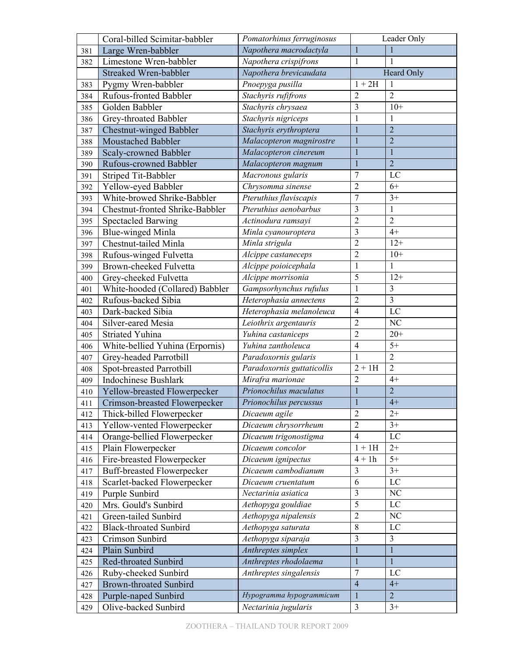|     | Coral-billed Scimitar-babbler     | Pomatorhinus ferruginosus        | Leader Only    |                 |
|-----|-----------------------------------|----------------------------------|----------------|-----------------|
| 381 | Large Wren-babbler                | Napothera macrodactyla           | $\mathbf{1}$   | 1               |
| 382 | Limestone Wren-babbler            | Napothera crispifrons            | $\mathbf{1}$   | 1               |
|     | Streaked Wren-babbler             | Napothera brevicaudata           |                | Heard Only      |
| 383 | Pygmy Wren-babbler                | Pnoepyga pusilla                 | $1+2H$         | 1               |
| 384 | Rufous-fronted Babbler            | Stachyris rufifrons              | $\overline{2}$ | $\overline{2}$  |
| 385 | Golden Babbler                    | Stachyris chrysaea               | $\overline{3}$ | $10+$           |
| 386 | Grey-throated Babbler             | Stachyris nigriceps              | 1              | 1               |
| 387 | Chestnut-winged Babbler           | Stachyris erythroptera           | $\mathbf{1}$   | $\overline{2}$  |
| 388 | <b>Moustached Babbler</b>         | Malacopteron magnirostre         | $\mathbf{1}$   | $\overline{2}$  |
| 389 | Scaly-crowned Babbler             | Malacopteron cinereum            | $\mathbf{1}$   | $\mathbf{1}$    |
| 390 | <b>Rufous-crowned Babbler</b>     | Malacopteron magnum              | $\mathbf{1}$   | $\overline{2}$  |
| 391 | Striped Tit-Babbler               | Macronous gularis                | 7              | LC              |
| 392 | Yellow-eyed Babbler               | Chrysomma sinense                | $\overline{2}$ | $6+$            |
| 393 | White-browed Shrike-Babbler       | Pteruthius flaviscapis           | $\overline{7}$ | $3+$            |
| 394 | Chestnut-fronted Shrike-Babbler   | Pteruthius aenobarbus            | 3              | 1               |
| 395 | <b>Spectacled Barwing</b>         | Actinodura ramsayi               | $\overline{c}$ | $\overline{2}$  |
| 396 | <b>Blue-winged Minla</b>          | Minla cyanouroptera              | 3              | $4+$            |
| 397 | Chestnut-tailed Minla             | Minla strigula                   | $\overline{2}$ | $12+$           |
| 398 | Rufous-winged Fulvetta            | Alcippe castaneceps              | $\overline{2}$ | $10+$           |
| 399 | Brown-cheeked Fulvetta            | Alcippe poioicephala             | $\mathbf{1}$   | 1               |
| 400 | Grey-cheeked Fulvetta             | $\overline{Al}$ cippe morrisonia | $\overline{5}$ | $12+$           |
| 401 | White-hooded (Collared) Babbler   | Gampsorhynchus rufulus           | 1              | 3               |
| 402 | Rufous-backed Sibia               | Heterophasia annectens           | $\overline{2}$ | $\overline{3}$  |
| 403 | Dark-backed Sibia                 | Heterophasia melanoleuca         | $\overline{4}$ | $\rm LC$        |
| 404 | Silver-eared Mesia                | Leiothrix argentauris            | $\overline{2}$ | NC              |
| 405 | Striated Yuhina                   | Yuhina castaniceps               | $\overline{2}$ | $20+$           |
| 406 | White-bellied Yuhina (Erpornis)   | Yuhina zantholeuca               | $\overline{4}$ | $5+$            |
| 407 | Grey-headed Parrotbill            | Paradoxornis gularis             | 1              | $\overline{2}$  |
| 408 | Spot-breasted Parrotbill          | Paradoxornis guttaticollis       | $2 + 1H$       | $\overline{2}$  |
| 409 | <b>Indochinese Bushlark</b>       | Mirafra marionae                 | $\overline{2}$ | $4+$            |
| 410 | Yellow-breasted Flowerpecker      | Prionochilus maculatus           | $\mathbf{1}$   | $\overline{2}$  |
| 411 | Crimson-breasted Flowerpecker     | Prionochilus percussus           | 1              | $4+$            |
| 412 | Thick-billed Flowerpecker         | Dicaeum agile                    | $\overline{2}$ | $2+$            |
| 413 | Yellow-vented Flowerpecker        | Dicaeum chrysorrheum             | $\overline{2}$ | $3+$            |
| 414 | Orange-bellied Flowerpecker       | Dicaeum trigonostigma            | $\overline{4}$ | LC              |
| 415 | Plain Flowerpecker                | Dicaeum concolor                 | $1 + 1H$       | $2+$            |
| 416 | Fire-breasted Flowerpecker        | Dicaeum ignipectus               | $4 + 1h$       | $5+$            |
| 417 | <b>Buff-breasted Flowerpecker</b> | Dicaeum cambodianum              | 3              | $3+$            |
| 418 | Scarlet-backed Flowerpecker       | Dicaeum cruentatum               | $\overline{6}$ | $\rm LC$        |
| 419 | Purple Sunbird                    | Nectarinia asiatica              | $\overline{3}$ | NC              |
| 420 | Mrs. Gould's Sunbird              | Aethopyga gouldiae               | $\overline{5}$ | $\rm LC$        |
| 421 | Green-tailed Sunbird              | Aethopyga nipalensis             | $\overline{2}$ | NC              |
| 422 | <b>Black-throated Sunbird</b>     | Aethopyga saturata               | $\overline{8}$ | LC              |
| 423 | Crimson Sunbird                   | Aethopyga siparaja               | 3              | 3               |
| 424 | Plain Sunbird                     | Anthreptes simplex               | $\mathbf{1}$   | $\mathbf{1}$    |
| 425 | <b>Red-throated Sunbird</b>       | Anthreptes rhodolaema            | 1              | $\mathbf{1}$    |
| 426 | Ruby-cheeked Sunbird              | Anthreptes singalensis           | $\overline{7}$ | LC              |
| 427 | <b>Brown-throated Sunbird</b>     |                                  | $\overline{4}$ | $4+$            |
| 428 | Purple-naped Sunbird              | Hypogramma hypogrammicum         | $\mathbf{1}$   | $\overline{2}$  |
| 429 | Olive-backed Sunbird              | Nectarinia jugularis             | $\mathfrak{Z}$ | $\overline{3+}$ |
|     |                                   |                                  |                |                 |